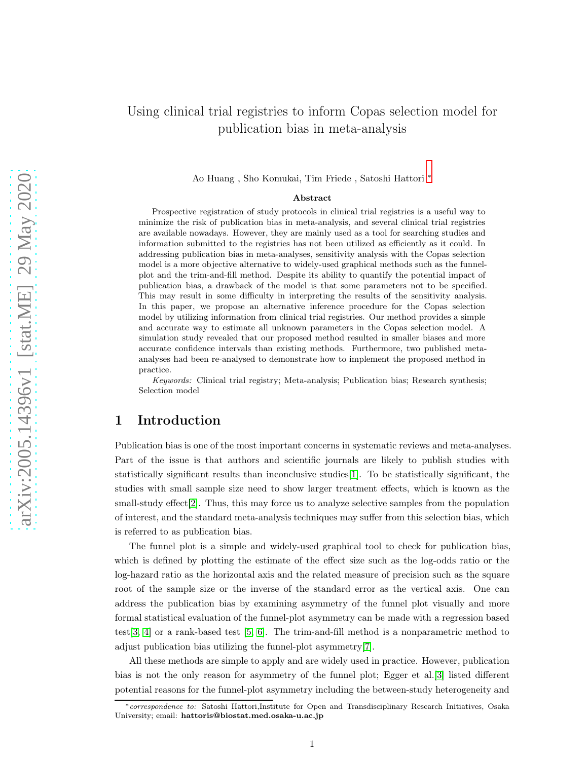# Using clinical trial registries to inform Copas selection model for publication bias in meta-analysis

Ao Huang , Sho Komukai, Tim Friede , Satoshi Hattori [∗](#page-0-0)

#### Abstract

Prospective registration of study protocols in clinical trial registries is a useful way to minimize the risk of publication bias in meta-analysis, and several clinical trial registries are available nowadays. However, they are mainly used as a tool for searching studies and information submitted to the registries has not been utilized as efficiently as it could. In addressing publication bias in meta-analyses, sensitivity analysis with the Copas selection model is a more objective alternative to widely-used graphical methods such as the funnelplot and the trim-and-fill method. Despite its ability to quantify the potential impact of publication bias, a drawback of the model is that some parameters not to be specified. This may result in some difficulty in interpreting the results of the sensitivity analysis. In this paper, we propose an alternative inference procedure for the Copas selection model by utilizing information from clinical trial registries. Our method provides a simple and accurate way to estimate all unknown parameters in the Copas selection model. A simulation study revealed that our proposed method resulted in smaller biases and more accurate confidence intervals than existing methods. Furthermore, two published metaanalyses had been re-analysed to demonstrate how to implement the proposed method in practice.

Keywords: Clinical trial registry; Meta-analysis; Publication bias; Research synthesis; Selection model

## 1 Introduction

Publication bias is one of the most important concerns in systematic reviews and meta-analyses. Part of the issue is that authors and scientific journals are likely to publish studies with statistically significant results than inconclusive studies[\[1\]](#page-10-0). To be statistically significant, the studies with small sample size need to show larger treatment effects, which is known as the small-study effect[\[2\]](#page-10-1). Thus, this may force us to analyze selective samples from the population of interest, and the standard meta-analysis techniques may suffer from this selection bias, which is referred to as publication bias.

The funnel plot is a simple and widely-used graphical tool to check for publication bias, which is defined by plotting the estimate of the effect size such as the log-odds ratio or the log-hazard ratio as the horizontal axis and the related measure of precision such as the square root of the sample size or the inverse of the standard error as the vertical axis. One can address the publication bias by examining asymmetry of the funnel plot visually and more formal statistical evaluation of the funnel-plot asymmetry can be made with a regression based test[\[3,](#page-10-2) [4\]](#page-10-3) or a rank-based test [\[5,](#page-10-4) [6\]](#page-10-5). The trim-and-fill method is a nonparametric method to adjust publication bias utilizing the funnel-plot asymmetry[\[7\]](#page-10-6).

All these methods are simple to apply and are widely used in practice. However, publication bias is not the only reason for asymmetry of the funnel plot; Egger et al.[\[3\]](#page-10-2) listed different potential reasons for the funnel-plot asymmetry including the between-study heterogeneity and

<span id="page-0-0"></span><sup>∗</sup>correspondence to: Satoshi Hattori,Institute for Open and Transdisciplinary Research Initiatives, Osaka University; email: hattoris@biostat.med.osaka-u.ac.jp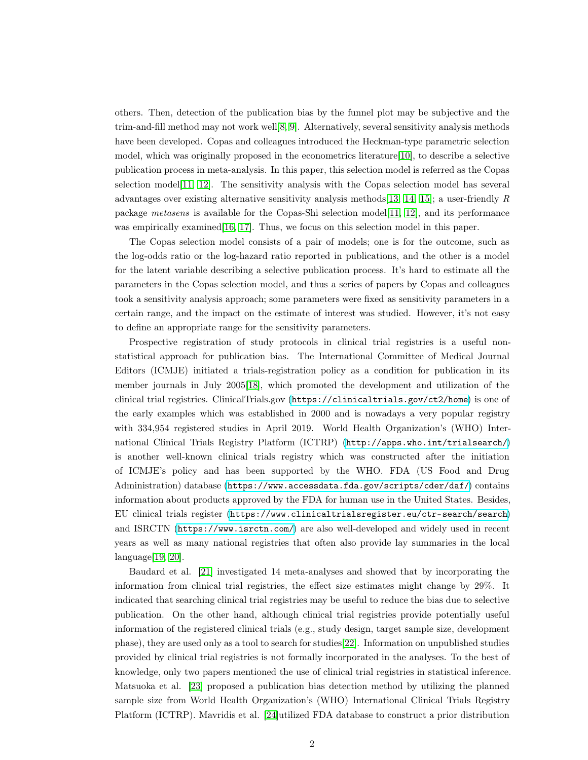others. Then, detection of the publication bias by the funnel plot may be subjective and the trim-and-fill method may not work well[\[8,](#page-10-7) [9\]](#page-10-8). Alternatively, several sensitivity analysis methods have been developed. Copas and colleagues introduced the Heckman-type parametric selection model, which was originally proposed in the econometrics literature[\[10\]](#page-10-9), to describe a selective publication process in meta-analysis. In this paper, this selection model is referred as the Copas selection model[\[11,](#page-10-10) [12\]](#page-10-11). The sensitivity analysis with the Copas selection model has several advantages over existing alternative sensitivity analysis methods[\[13,](#page-10-12) [14,](#page-10-13) [15\]](#page-10-14); a user-friendly R package metasens is available for the Copas-Shi selection model[\[11,](#page-10-10) [12\]](#page-10-11), and its performance was empirically examined [\[16,](#page-11-0) [17\]](#page-11-1). Thus, we focus on this selection model in this paper.

The Copas selection model consists of a pair of models; one is for the outcome, such as the log-odds ratio or the log-hazard ratio reported in publications, and the other is a model for the latent variable describing a selective publication process. It's hard to estimate all the parameters in the Copas selection model, and thus a series of papers by Copas and colleagues took a sensitivity analysis approach; some parameters were fixed as sensitivity parameters in a certain range, and the impact on the estimate of interest was studied. However, it's not easy to define an appropriate range for the sensitivity parameters.

Prospective registration of study protocols in clinical trial registries is a useful nonstatistical approach for publication bias. The International Committee of Medical Journal Editors (ICMJE) initiated a trials-registration policy as a condition for publication in its member journals in July 2005[\[18\]](#page-11-2), which promoted the development and utilization of the clinical trial registries. ClinicalTrials.gov (<https://clinicaltrials.gov/ct2/home>) is one of the early examples which was established in 2000 and is nowadays a very popular registry with 334,954 registered studies in April 2019. World Health Organization's (WHO) International Clinical Trials Registry Platform (ICTRP) (<http://apps.who.int/trialsearch/>) is another well-known clinical trials registry which was constructed after the initiation of ICMJE's policy and has been supported by the WHO. FDA (US Food and Drug Administration) database (<https://www.accessdata.fda.gov/scripts/cder/daf/>) contains information about products approved by the FDA for human use in the United States. Besides, EU clinical trials register (<https://www.clinicaltrialsregister.eu/ctr-search/search>) and ISRCTN (<https://www.isrctn.com/>) are also well-developed and widely used in recent years as well as many national registries that often also provide lay summaries in the local language[\[19,](#page-11-3) [20\]](#page-11-4).

Baudard et al. [\[21\]](#page-11-5) investigated 14 meta-analyses and showed that by incorporating the information from clinical trial registries, the effect size estimates might change by 29%. It indicated that searching clinical trial registries may be useful to reduce the bias due to selective publication. On the other hand, although clinical trial registries provide potentially useful information of the registered clinical trials (e.g., study design, target sample size, development phase), they are used only as a tool to search for studies[\[22\]](#page-11-6). Information on unpublished studies provided by clinical trial registries is not formally incorporated in the analyses. To the best of knowledge, only two papers mentioned the use of clinical trial registries in statistical inference. Matsuoka et al. [\[23\]](#page-11-7) proposed a publication bias detection method by utilizing the planned sample size from World Health Organization's (WHO) International Clinical Trials Registry Platform (ICTRP). Mavridis et al. [\[24\]](#page-11-8)utilized FDA database to construct a prior distribution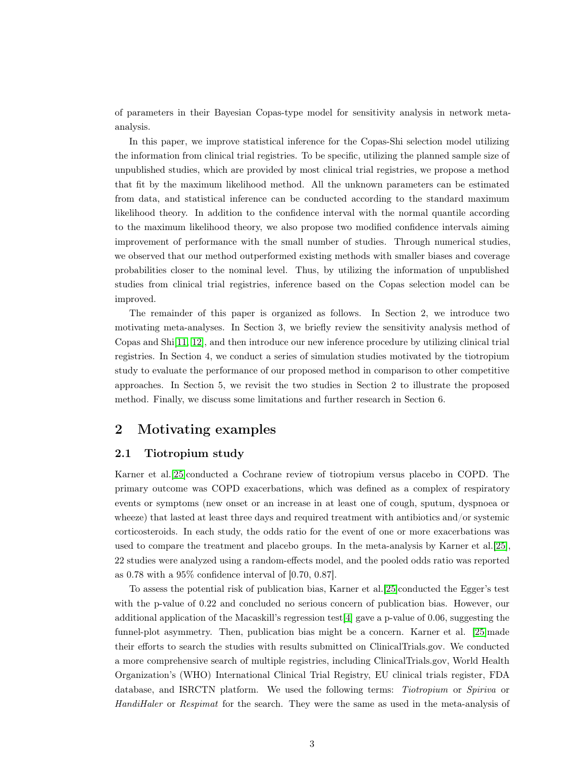of parameters in their Bayesian Copas-type model for sensitivity analysis in network metaanalysis.

In this paper, we improve statistical inference for the Copas-Shi selection model utilizing the information from clinical trial registries. To be specific, utilizing the planned sample size of unpublished studies, which are provided by most clinical trial registries, we propose a method that fit by the maximum likelihood method. All the unknown parameters can be estimated from data, and statistical inference can be conducted according to the standard maximum likelihood theory. In addition to the confidence interval with the normal quantile according to the maximum likelihood theory, we also propose two modified confidence intervals aiming improvement of performance with the small number of studies. Through numerical studies, we observed that our method outperformed existing methods with smaller biases and coverage probabilities closer to the nominal level. Thus, by utilizing the information of unpublished studies from clinical trial registries, inference based on the Copas selection model can be improved.

The remainder of this paper is organized as follows. In Section 2, we introduce two motivating meta-analyses. In Section 3, we briefly review the sensitivity analysis method of Copas and Shi[\[11,](#page-10-10) [12\]](#page-10-11), and then introduce our new inference procedure by utilizing clinical trial registries. In Section 4, we conduct a series of simulation studies motivated by the tiotropium study to evaluate the performance of our proposed method in comparison to other competitive approaches. In Section 5, we revisit the two studies in Section 2 to illustrate the proposed method. Finally, we discuss some limitations and further research in Section 6.

## 2 Motivating examples

#### 2.1 Tiotropium study

Karner et al.[\[25\]](#page-11-9)conducted a Cochrane review of tiotropium versus placebo in COPD. The primary outcome was COPD exacerbations, which was defined as a complex of respiratory events or symptoms (new onset or an increase in at least one of cough, sputum, dyspnoea or wheeze) that lasted at least three days and required treatment with antibiotics and/or systemic corticosteroids. In each study, the odds ratio for the event of one or more exacerbations was used to compare the treatment and placebo groups. In the meta-analysis by Karner et al.[\[25\]](#page-11-9), 22 studies were analyzed using a random-effects model, and the pooled odds ratio was reported as 0.78 with a 95% confidence interval of [0.70, 0.87].

To assess the potential risk of publication bias, Karner et al.[\[25\]](#page-11-9)conducted the Egger's test with the p-value of 0.22 and concluded no serious concern of publication bias. However, our additional application of the Macaskill's regression test[\[4\]](#page-10-3) gave a p-value of 0.06, suggesting the funnel-plot asymmetry. Then, publication bias might be a concern. Karner et al. [\[25\]](#page-11-9)made their efforts to search the studies with results submitted on ClinicalTrials.gov. We conducted a more comprehensive search of multiple registries, including ClinicalTrials.gov, World Health Organization's (WHO) International Clinical Trial Registry, EU clinical trials register, FDA database, and ISRCTN platform. We used the following terms: Tiotropium or Spiriva or HandiHaler or Respimat for the search. They were the same as used in the meta-analysis of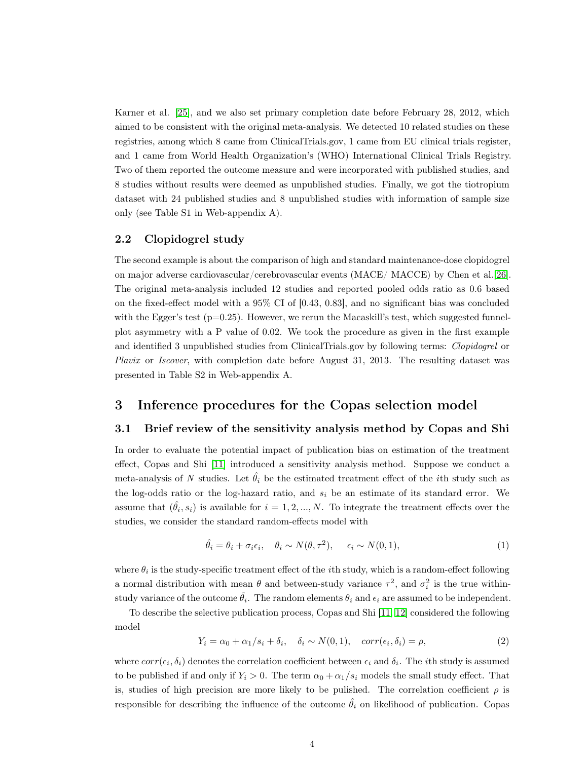Karner et al. [\[25\]](#page-11-9), and we also set primary completion date before February 28, 2012, which aimed to be consistent with the original meta-analysis. We detected 10 related studies on these registries, among which 8 came from ClinicalTrials.gov, 1 came from EU clinical trials register, and 1 came from World Health Organization's (WHO) International Clinical Trials Registry. Two of them reported the outcome measure and were incorporated with published studies, and 8 studies without results were deemed as unpublished studies. Finally, we got the tiotropium dataset with 24 published studies and 8 unpublished studies with information of sample size only (see Table S1 in Web-appendix A).

#### 2.2 Clopidogrel study

The second example is about the comparison of high and standard maintenance-dose clopidogrel on major adverse cardiovascular/cerebrovascular events (MACE/ MACCE) by Chen et al.[\[26\]](#page-11-10). The original meta-analysis included 12 studies and reported pooled odds ratio as 0.6 based on the fixed-effect model with a 95% CI of [0.43, 0.83], and no significant bias was concluded with the Egger's test  $(p=0.25)$ . However, we rerun the Macaskill's test, which suggested funnelplot asymmetry with a P value of 0.02. We took the procedure as given in the first example and identified 3 unpublished studies from ClinicalTrials.gov by following terms: Clopidogrel or Plavix or Iscover, with completion date before August 31, 2013. The resulting dataset was presented in Table S2 in Web-appendix A.

### 3 Inference procedures for the Copas selection model

#### 3.1 Brief review of the sensitivity analysis method by Copas and Shi

In order to evaluate the potential impact of publication bias on estimation of the treatment effect, Copas and Shi [\[11\]](#page-10-10) introduced a sensitivity analysis method. Suppose we conduct a meta-analysis of N studies. Let  $\hat{\theta}_i$  be the estimated treatment effect of the *i*th study such as the log-odds ratio or the log-hazard ratio, and  $s_i$  be an estimate of its standard error. We assume that  $(\hat{\theta}_i, s_i)$  is available for  $i = 1, 2, ..., N$ . To integrate the treatment effects over the studies, we consider the standard random-effects model with

<span id="page-3-1"></span>
$$
\hat{\theta}_i = \theta_i + \sigma_i \epsilon_i, \quad \theta_i \sim N(\theta, \tau^2), \quad \epsilon_i \sim N(0, 1), \tag{1}
$$

where  $\theta_i$  is the study-specific treatment effect of the *i*th study, which is a random-effect following a normal distribution with mean  $\theta$  and between-study variance  $\tau^2$ , and  $\sigma_i^2$  is the true withinstudy variance of the outcome  $\hat{\theta}_i$ . The random elements  $\theta_i$  and  $\epsilon_i$  are assumed to be independent.

<span id="page-3-0"></span>To describe the selective publication process, Copas and Shi [\[11,](#page-10-10) [12\]](#page-10-11) considered the following model

$$
Y_i = \alpha_0 + \alpha_1/s_i + \delta_i, \quad \delta_i \sim N(0, 1), \quad corr(\epsilon_i, \delta_i) = \rho,
$$
\n(2)

where  $corr(\epsilon_i, \delta_i)$  denotes the correlation coefficient between  $\epsilon_i$  and  $\delta_i$ . The *i*th study is assumed to be published if and only if  $Y_i > 0$ . The term  $\alpha_0 + \alpha_1/s_i$  models the small study effect. That is, studies of high precision are more likely to be pulished. The correlation coefficient  $\rho$  is responsible for describing the influence of the outcome  $\hat{\theta}_i$  on likelihood of publication. Copas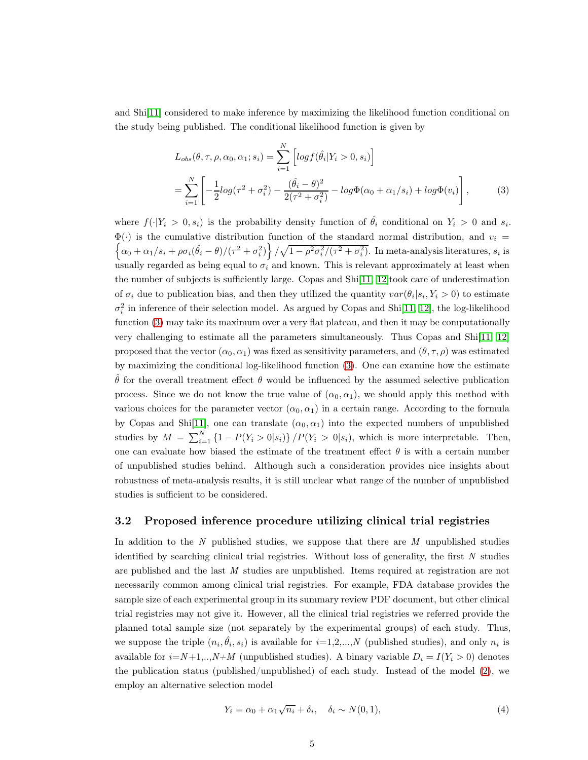and Shi[\[11\]](#page-10-10) considered to make inference by maximizing the likelihood function conditional on the study being published. The conditional likelihood function is given by

<span id="page-4-0"></span>
$$
L_{obs}(\theta, \tau, \rho, \alpha_0, \alpha_1; s_i) = \sum_{i=1}^{N} \left[ log f(\hat{\theta}_i | Y_i > 0, s_i) \right]
$$
  
= 
$$
\sum_{i=1}^{N} \left[ -\frac{1}{2} log(\tau^2 + \sigma_i^2) - \frac{(\hat{\theta}_i - \theta)^2}{2(\tau^2 + \sigma_i^2)} - log \Phi(\alpha_0 + \alpha_1 / s_i) + log \Phi(v_i) \right],
$$
 (3)

where  $f(\cdot|Y_i > 0, s_i)$  is the probability density function of  $\hat{\theta}_i$  conditional on  $Y_i > 0$  and  $s_i$ .  $\Phi(\cdot)$  is the cumulative distribution function of the standard normal distribution, and  $v_i =$  $\left\{\alpha_0+\alpha_1/s_i+\rho\sigma_i(\hat{\theta_i}-\theta)/(\tau^2+\sigma_i^2)\right\}/\sqrt{1-\rho^2\sigma_i^2/(\tau^2+\sigma_i^2)}.$  In meta-analysis literatures,  $s_i$  is usually regarded as being equal to  $\sigma_i$  and known. This is relevant approximately at least when the number of subjects is sufficiently large. Copas and Shi[\[11,](#page-10-10) [12\]](#page-10-11)took care of underestimation of  $\sigma_i$  due to publication bias, and then they utilized the quantity  $var(\theta_i|s_i, Y_i > 0)$  to estimate  $\sigma_i^2$  in inference of their selection model. As argued by Copas and Shi[\[11,](#page-10-10) [12\]](#page-10-11), the log-likelihood function ([3](#page-4-0)) may take its maximum over a very flat plateau, and then it may be computationally very challenging to estimate all the parameters simultaneously. Thus Copas and Shi[\[11,](#page-10-10) [12\]](#page-10-11) proposed that the vector  $(\alpha_0, \alpha_1)$  was fixed as sensitivity parameters, and  $(\theta, \tau, \rho)$  was estimated by maximizing the conditional log-likelihood function ([3](#page-4-0)). One can examine how the estimate  $\hat{\theta}$  for the overall treatment effect  $\theta$  would be influenced by the assumed selective publication process. Since we do not know the true value of  $(\alpha_0, \alpha_1)$ , we should apply this method with various choices for the parameter vector  $(\alpha_0, \alpha_1)$  in a certain range. According to the formula by Copas and Shi[\[11\]](#page-10-10), one can translate  $(\alpha_0, \alpha_1)$  into the expected numbers of unpublished studies by  $M = \sum_{i=1}^{N} \{1 - P(Y_i > 0 | s_i)\} / P(Y_i > 0 | s_i)$ , which is more interpretable. Then, one can evaluate how biased the estimate of the treatment effect  $\theta$  is with a certain number of unpublished studies behind. Although such a consideration provides nice insights about robustness of meta-analysis results, it is still unclear what range of the number of unpublished studies is sufficient to be considered.

#### 3.2 Proposed inference procedure utilizing clinical trial registries

In addition to the  $N$  published studies, we suppose that there are  $M$  unpublished studies identified by searching clinical trial registries. Without loss of generality, the first  $N$  studies are published and the last M studies are unpublished. Items required at registration are not necessarily common among clinical trial registries. For example, FDA database provides the sample size of each experimental group in its summary review PDF document, but other clinical trial registries may not give it. However, all the clinical trial registries we referred provide the planned total sample size (not separately by the experimental groups) of each study. Thus, we suppose the triple  $(n_i, \hat{\theta}_i, s_i)$  is available for  $i=1,2,...,N$  (published studies), and only  $n_i$  is available for  $i=N+1,..,N+M$  (unpublished studies). A binary variable  $D_i = I(Y_i > 0)$  denotes the publication status (published/unpublished) of each study. Instead of the model ([2](#page-3-0)), we employ an alternative selection model

<span id="page-4-1"></span>
$$
Y_i = \alpha_0 + \alpha_1 \sqrt{n_i} + \delta_i, \quad \delta_i \sim N(0, 1), \tag{4}
$$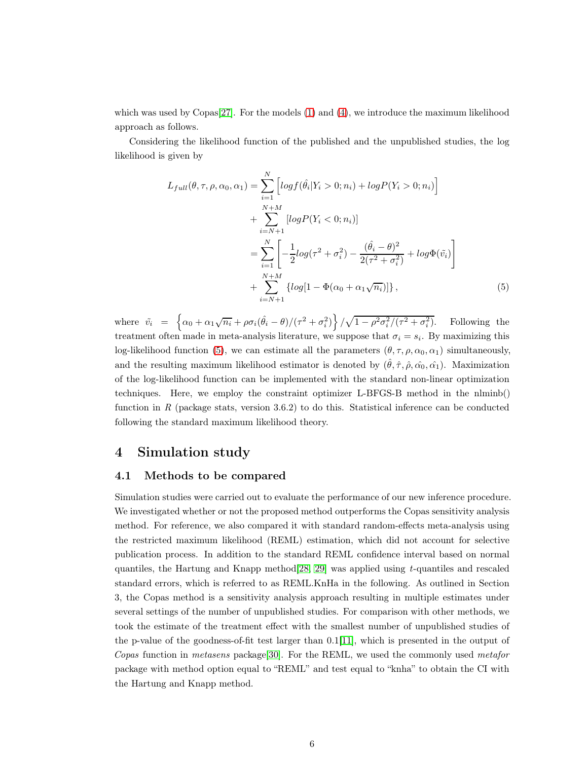which was used by Copas $[27]$ . For the models  $(1)$  $(1)$  $(1)$  and  $(4)$  $(4)$  $(4)$ , we introduce the maximum likelihood approach as follows.

Considering the likelihood function of the published and the unpublished studies, the log likelihood is given by

<span id="page-5-0"></span>
$$
L_{full}(\theta, \tau, \rho, \alpha_0, \alpha_1) = \sum_{i=1}^{N} \left[ log f(\hat{\theta}_i | Y_i > 0; n_i) + log P(Y_i > 0; n_i) \right] + \sum_{i=N+1}^{N+M} [log P(Y_i < 0; n_i)] = \sum_{i=1}^{N} \left[ -\frac{1}{2} log(\tau^2 + \sigma_i^2) - \frac{(\hat{\theta}_i - \theta)^2}{2(\tau^2 + \sigma_i^2)} + log \Phi(\tilde{v}_i) \right] + \sum_{i=N+1}^{N+M} \left\{ log[1 - \Phi(\alpha_0 + \alpha_1 \sqrt{n_i})] \right\},
$$
(5)

where  $\tilde{v}_i = \left\{ \alpha_0 + \alpha_1 \sqrt{n_i} + \rho \sigma_i (\hat{\theta}_i - \theta) / (\tau^2 + \sigma_i^2) \right\} / \sqrt{1 - \rho^2 \sigma_i^2 / (\tau^2 + \sigma_i^2)}$ . Following the treatment often made in meta-analysis literature, we suppose that  $\sigma_i = s_i$ . By maximizing this log-likelihood function ([5](#page-5-0)), we can estimate all the parameters  $(\theta, \tau, \rho, \alpha_0, \alpha_1)$  simultaneously, and the resulting maximum likelihood estimator is denoted by  $(\hat{\theta}, \hat{\tau}, \hat{\rho}, \hat{\alpha_0}, \hat{\alpha_1})$ . Maximization of the log-likelihood function can be implemented with the standard non-linear optimization techniques. Here, we employ the constraint optimizer L-BFGS-B method in the nlminb() function in R (package stats, version  $3.6.2$ ) to do this. Statistical inference can be conducted following the standard maximum likelihood theory.

### 4 Simulation study

#### 4.1 Methods to be compared

Simulation studies were carried out to evaluate the performance of our new inference procedure. We investigated whether or not the proposed method outperforms the Copas sensitivity analysis method. For reference, we also compared it with standard random-effects meta-analysis using the restricted maximum likelihood (REML) estimation, which did not account for selective publication process. In addition to the standard REML confidence interval based on normal quantiles, the Hartung and Knapp method[\[28,](#page-11-12) [29\]](#page-12-0) was applied using t-quantiles and rescaled standard errors, which is referred to as REML.KnHa in the following. As outlined in Section 3, the Copas method is a sensitivity analysis approach resulting in multiple estimates under several settings of the number of unpublished studies. For comparison with other methods, we took the estimate of the treatment effect with the smallest number of unpublished studies of the p-value of the goodness-of-fit test larger than 0.1[\[11\]](#page-10-10), which is presented in the output of Copas function in metasens package[\[30\]](#page-12-1). For the REML, we used the commonly used metafor package with method option equal to "REML" and test equal to "knha" to obtain the CI with the Hartung and Knapp method.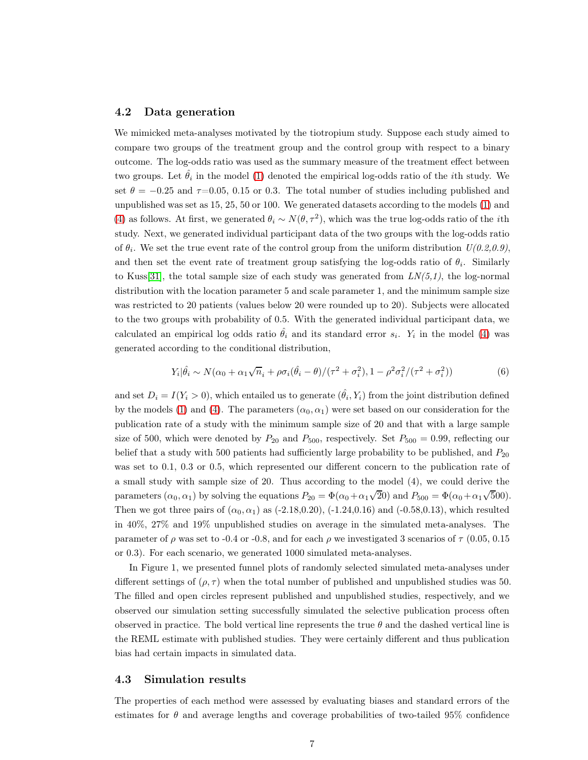#### 4.2 Data generation

We mimicked meta-analyses motivated by the tiotropium study. Suppose each study aimed to compare two groups of the treatment group and the control group with respect to a binary outcome. The log-odds ratio was used as the summary measure of the treatment effect between two groups. Let  $\hat{\theta}_i$  in the model ([1](#page-3-1)) denoted the empirical log-odds ratio of the *i*th study. We set  $\theta = -0.25$  and  $\tau = 0.05, 0.15$  or 0.3. The total number of studies including published and unpublished was set as 15, 25, 50 or 100. We generated datasets according to the models ([1](#page-3-1)) and ([4](#page-4-1)) as follows. At first, we generated  $\theta_i \sim N(\theta, \tau^2)$ , which was the true log-odds ratio of the *i*th study. Next, we generated individual participant data of the two groups with the log-odds ratio of  $\theta_i$ . We set the true event rate of the control group from the uniform distribution  $U(0.2, 0.9)$ , and then set the event rate of treatment group satisfying the log-odds ratio of  $\theta_i$ . Similarly to Kuss[\[31\]](#page-12-2), the total sample size of each study was generated from  $LN(5,1)$ , the log-normal distribution with the location parameter 5 and scale parameter 1, and the minimum sample size was restricted to 20 patients (values below 20 were rounded up to 20). Subjects were allocated to the two groups with probability of 0.5. With the generated individual participant data, we calculated an empirical log odds ratio  $\hat{\theta}_i$  and its standard error  $s_i$ .  $Y_i$  in the model ([4](#page-4-1)) was generated according to the conditional distribution,

$$
Y_i|\hat{\theta}_i \sim N(\alpha_0 + \alpha_1\sqrt{n_i} + \rho\sigma_i(\hat{\theta}_i - \theta) / (\tau^2 + \sigma_i^2), 1 - \rho^2\sigma_i^2 / (\tau^2 + \sigma_i^2))
$$
(6)

and set  $D_i = I(Y_i > 0)$ , which entailed us to generate  $(\hat{\theta}_i, Y_i)$  from the joint distribution defined by the models ([1](#page-3-1)) and ([4](#page-4-1)). The parameters  $(\alpha_0, \alpha_1)$  were set based on our consideration for the publication rate of a study with the minimum sample size of 20 and that with a large sample size of 500, which were denoted by  $P_{20}$  and  $P_{500}$ , respectively. Set  $P_{500} = 0.99$ , reflecting our belief that a study with 500 patients had sufficiently large probability to be published, and  $P_{20}$ was set to 0.1, 0.3 or 0.5, which represented our different concern to the publication rate of a small study with sample size of 20. Thus according to the model (4), we could derive the parameters  $(\alpha_0, \alpha_1)$  by solving the equations  $P_{20} = \Phi(\alpha_0 + \alpha_1 \sqrt{20})$  and  $P_{500} = \Phi(\alpha_0 + \alpha_1 \sqrt{500})$ . Then we got three pairs of  $(\alpha_0, \alpha_1)$  as (-2.18,0.20), (-1.24,0.16) and (-0.58,0.13), which resulted in 40%, 27% and 19% unpublished studies on average in the simulated meta-analyses. The parameter of  $\rho$  was set to -0.4 or -0.8, and for each  $\rho$  we investigated 3 scenarios of  $\tau$  (0.05, 0.15) or 0.3). For each scenario, we generated 1000 simulated meta-analyses.

In Figure 1, we presented funnel plots of randomly selected simulated meta-analyses under different settings of  $(\rho, \tau)$  when the total number of published and unpublished studies was 50. The filled and open circles represent published and unpublished studies, respectively, and we observed our simulation setting successfully simulated the selective publication process often observed in practice. The bold vertical line represents the true  $\theta$  and the dashed vertical line is the REML estimate with published studies. They were certainly different and thus publication bias had certain impacts in simulated data.

#### 4.3 Simulation results

The properties of each method were assessed by evaluating biases and standard errors of the estimates for  $\theta$  and average lengths and coverage probabilities of two-tailed 95% confidence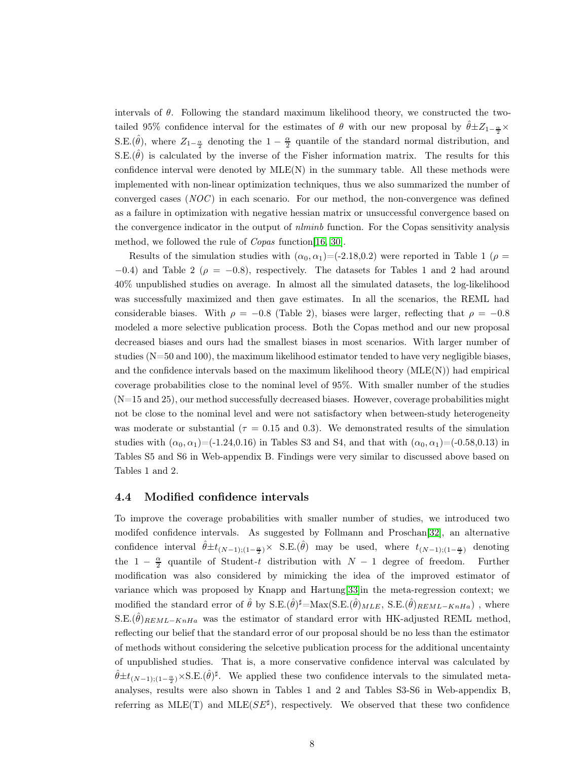intervals of  $\theta$ . Following the standard maximum likelihood theory, we constructed the twotailed 95% confidence interval for the estimates of  $\theta$  with our new proposal by  $\hat{\theta} \pm Z_{1-\frac{\alpha}{2}} \times$ S.E. $(\hat{\theta})$ , where  $Z_{1-\frac{\alpha}{2}}$  denoting the  $1-\frac{\alpha}{2}$  quantile of the standard normal distribution, and S.E. $(\hat{\theta})$  is calculated by the inverse of the Fisher information matrix. The results for this confidence interval were denoted by  $MLE(N)$  in the summary table. All these methods were implemented with non-linear optimization techniques, thus we also summarized the number of converged cases (NOC) in each scenario. For our method, the non-convergence was defined as a failure in optimization with negative hessian matrix or unsuccessful convergence based on the convergence indicator in the output of *nlminb* function. For the Copas sensitivity analysis method, we followed the rule of Copas function[\[16,](#page-11-0) [30\]](#page-12-1).

Results of the simulation studies with  $(\alpha_0, \alpha_1) = (-2.18, 0.2)$  were reported in Table 1 ( $\rho =$  $-0.4$ ) and Table 2 ( $\rho = -0.8$ ), respectively. The datasets for Tables 1 and 2 had around 40% unpublished studies on average. In almost all the simulated datasets, the log-likelihood was successfully maximized and then gave estimates. In all the scenarios, the REML had considerable biases. With  $\rho = -0.8$  (Table 2), biases were larger, reflecting that  $\rho = -0.8$ modeled a more selective publication process. Both the Copas method and our new proposal decreased biases and ours had the smallest biases in most scenarios. With larger number of studies (N=50 and 100), the maximum likelihood estimator tended to have very negligible biases, and the confidence intervals based on the maximum likelihood theory  $(MLE(N))$  had empirical coverage probabilities close to the nominal level of 95%. With smaller number of the studies  $(N=15 \text{ and } 25)$ , our method successfully decreased biases. However, coverage probabilities might not be close to the nominal level and were not satisfactory when between-study heterogeneity was moderate or substantial ( $\tau = 0.15$  and 0.3). We demonstrated results of the simulation studies with  $(\alpha_0, \alpha_1) = (-1.24, 0.16)$  in Tables S3 and S4, and that with  $(\alpha_0, \alpha_1) = (-0.58, 0.13)$  in Tables S5 and S6 in Web-appendix B. Findings were very similar to discussed above based on Tables 1 and 2.

#### 4.4 Modified confidence intervals

To improve the coverage probabilities with smaller number of studies, we introduced two modifed confidence intervals. As suggested by Follmann and Proschan[\[32\]](#page-12-3), an alternative confidence interval  $\hat{\theta} \pm t_{(N-1):(1-\frac{\alpha}{2})} \times S.E.(\hat{\theta})$  may be used, where  $t_{(N-1):(1-\frac{\alpha}{2})}$  denoting the  $1 - \frac{\alpha}{2}$  quantile of Student-t distribution with  $N - 1$  degree of freedom. Further modification was also considered by mimicking the idea of the improved estimator of variance which was proposed by Knapp and Hartung<sup>[\[33\]](#page-12-4)</sup>in the meta-regression context; we modified the standard error of  $\hat{\theta}$  by S.E. $(\hat{\theta})^{\sharp} = \text{Max}(S.E.(\hat{\theta})_{MLE}, S.E.(\hat{\theta})_{REML-KnHa})$ , where S.E. $(\hat{\theta})_{REML-KnHa}$  was the estimator of standard error with HK-adjusted REML method, reflecting our belief that the standard error of our proposal should be no less than the estimator of methods without considering the selcetive publication process for the additional uncentainty of unpublished studies. That is, a more conservative confidence interval was calculated by  $\hat{\theta} \pm t_{(N-1):(1-\frac{\alpha}{2})} \times S.E.(\hat{\theta})^{\sharp}$ . We applied these two confidence intervals to the simulated metaanalyses, results were also shown in Tables 1 and 2 and Tables S3-S6 in Web-appendix B, referring as  $MLE(T)$  and  $MLE(SE^{\sharp})$ , respectively. We observed that these two confidence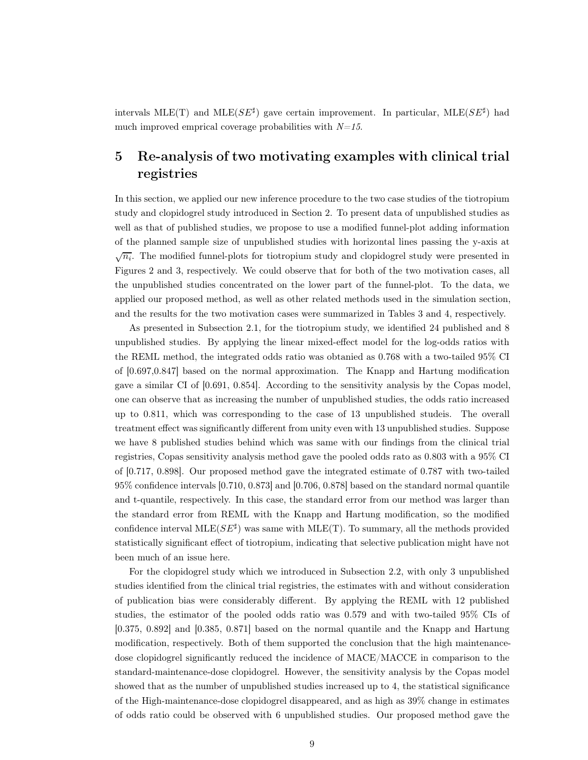intervals MLE(T) and MLE( $SE^{\sharp}$ ) gave certain improvement. In particular, MLE( $SE^{\sharp}$ ) had much improved emprical coverage probabilities with  $N=15$ .

# 5 Re-analysis of two motivating examples with clinical trial registries

In this section, we applied our new inference procedure to the two case studies of the tiotropium study and clopidogrel study introduced in Section 2. To present data of unpublished studies as well as that of published studies, we propose to use a modified funnel-plot adding information of the planned sample size of unpublished studies with horizontal lines passing the y-axis at  $\sqrt{n_i}$ . The modified funnel-plots for tiotropium study and clopidogrel study were presented in Figures 2 and 3, respectively. We could observe that for both of the two motivation cases, all the unpublished studies concentrated on the lower part of the funnel-plot. To the data, we applied our proposed method, as well as other related methods used in the simulation section, and the results for the two motivation cases were summarized in Tables 3 and 4, respectively.

As presented in Subsection 2.1, for the tiotropium study, we identified 24 published and 8 unpublished studies. By applying the linear mixed-effect model for the log-odds ratios with the REML method, the integrated odds ratio was obtanied as 0.768 with a two-tailed 95% CI of [0.697,0.847] based on the normal approximation. The Knapp and Hartung modification gave a similar CI of [0.691, 0.854]. According to the sensitivity analysis by the Copas model, one can observe that as increasing the number of unpublished studies, the odds ratio increased up to 0.811, which was corresponding to the case of 13 unpublished studeis. The overall treatment effect was significantly different from unity even with 13 unpublished studies. Suppose we have 8 published studies behind which was same with our findings from the clinical trial registries, Copas sensitivity analysis method gave the pooled odds rato as 0.803 with a 95% CI of [0.717, 0.898]. Our proposed method gave the integrated estimate of 0.787 with two-tailed 95% confidence intervals [0.710, 0.873] and [0.706, 0.878] based on the standard normal quantile and t-quantile, respectively. In this case, the standard error from our method was larger than the standard error from REML with the Knapp and Hartung modification, so the modified confidence interval  $MLE(SE^{\sharp})$  was same with  $MLE(T)$ . To summary, all the methods provided statistically significant effect of tiotropium, indicating that selective publication might have not been much of an issue here.

For the clopidogrel study which we introduced in Subsection 2.2, with only 3 unpublished studies identified from the clinical trial registries, the estimates with and without consideration of publication bias were considerably different. By applying the REML with 12 published studies, the estimator of the pooled odds ratio was 0.579 and with two-tailed 95% CIs of [0.375, 0.892] and [0.385, 0.871] based on the normal quantile and the Knapp and Hartung modification, respectively. Both of them supported the conclusion that the high maintenancedose clopidogrel significantly reduced the incidence of MACE/MACCE in comparison to the standard-maintenance-dose clopidogrel. However, the sensitivity analysis by the Copas model showed that as the number of unpublished studies increased up to 4, the statistical significance of the High-maintenance-dose clopidogrel disappeared, and as high as 39% change in estimates of odds ratio could be observed with 6 unpublished studies. Our proposed method gave the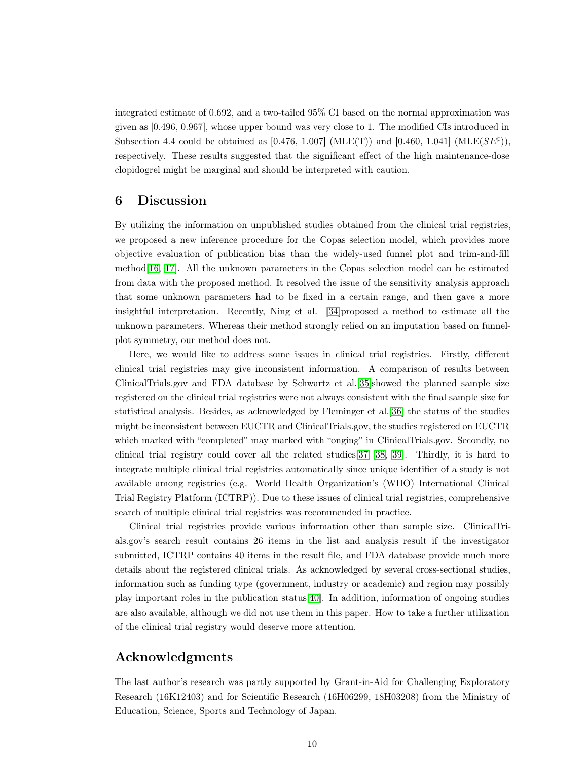integrated estimate of 0.692, and a two-tailed 95% CI based on the normal approximation was given as [0.496, 0.967], whose upper bound was very close to 1. The modified CIs introduced in Subsection 4.4 could be obtained as [0.476, 1.007] (MLE(T)) and [0.460, 1.041] (MLE( $SE^{\sharp}$ )), respectively. These results suggested that the significant effect of the high maintenance-dose clopidogrel might be marginal and should be interpreted with caution.

### 6 Discussion

By utilizing the information on unpublished studies obtained from the clinical trial registries, we proposed a new inference procedure for the Copas selection model, which provides more objective evaluation of publication bias than the widely-used funnel plot and trim-and-fill method[\[16,](#page-11-0) [17\]](#page-11-1). All the unknown parameters in the Copas selection model can be estimated from data with the proposed method. It resolved the issue of the sensitivity analysis approach that some unknown parameters had to be fixed in a certain range, and then gave a more insightful interpretation. Recently, Ning et al. [\[34\]](#page-12-5)proposed a method to estimate all the unknown parameters. Whereas their method strongly relied on an imputation based on funnelplot symmetry, our method does not.

Here, we would like to address some issues in clinical trial registries. Firstly, different clinical trial registries may give inconsistent information. A comparison of results between ClinicalTrials.gov and FDA database by Schwartz et al.[\[35\]](#page-12-6)showed the planned sample size registered on the clinical trial registries were not always consistent with the final sample size for statistical analysis. Besides, as acknowledged by Fleminger et al.[\[36\]](#page-12-7) the status of the studies might be inconsistent between EUCTR and ClinicalTrials.gov, the studies registered on EUCTR which marked with "completed" may marked with "onging" in ClinicalTrials.gov. Secondly, no clinical trial registry could cover all the related studies[\[37,](#page-12-8) [38,](#page-12-9) [39\]](#page-12-10). Thirdly, it is hard to integrate multiple clinical trial registries automatically since unique identifier of a study is not available among registries (e.g. World Health Organization's (WHO) International Clinical Trial Registry Platform (ICTRP)). Due to these issues of clinical trial registries, comprehensive search of multiple clinical trial registries was recommended in practice.

Clinical trial registries provide various information other than sample size. ClinicalTrials.gov's search result contains 26 items in the list and analysis result if the investigator submitted, ICTRP contains 40 items in the result file, and FDA database provide much more details about the registered clinical trials. As acknowledged by several cross-sectional studies, information such as funding type (government, industry or academic) and region may possibly play important roles in the publication status[\[40\]](#page-12-11). In addition, information of ongoing studies are also available, although we did not use them in this paper. How to take a further utilization of the clinical trial registry would deserve more attention.

## Acknowledgments

The last author's research was partly supported by Grant-in-Aid for Challenging Exploratory Research (16K12403) and for Scientific Research (16H06299, 18H03208) from the Ministry of Education, Science, Sports and Technology of Japan.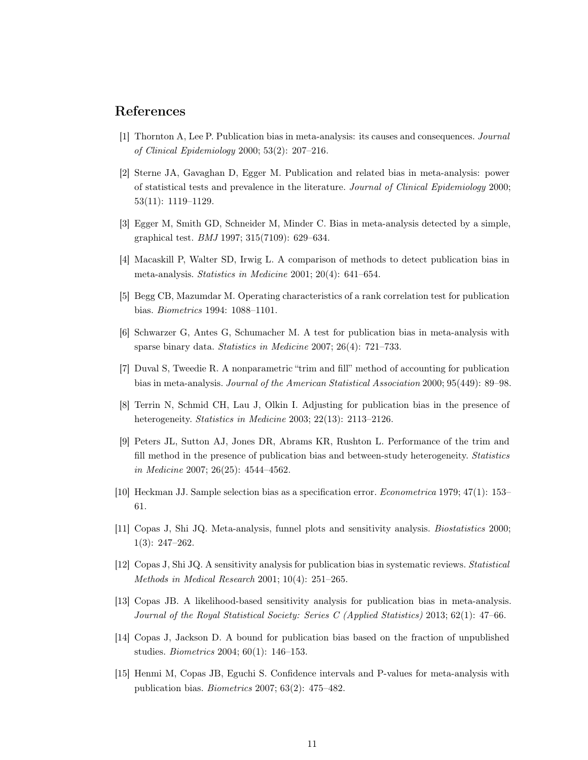### <span id="page-10-0"></span>References

- <span id="page-10-1"></span>[1] Thornton A, Lee P. Publication bias in meta-analysis: its causes and consequences. Journal of Clinical Epidemiology 2000; 53(2): 207–216.
- [2] Sterne JA, Gavaghan D, Egger M. Publication and related bias in meta-analysis: power of statistical tests and prevalence in the literature. Journal of Clinical Epidemiology 2000; 53(11): 1119–1129.
- <span id="page-10-3"></span><span id="page-10-2"></span>[3] Egger M, Smith GD, Schneider M, Minder C. Bias in meta-analysis detected by a simple, graphical test. BMJ 1997; 315(7109): 629–634.
- <span id="page-10-4"></span>[4] Macaskill P, Walter SD, Irwig L. A comparison of methods to detect publication bias in meta-analysis. Statistics in Medicine 2001; 20(4): 641–654.
- <span id="page-10-5"></span>[5] Begg CB, Mazumdar M. Operating characteristics of a rank correlation test for publication bias. Biometrics 1994: 1088–1101.
- <span id="page-10-6"></span>[6] Schwarzer G, Antes G, Schumacher M. A test for publication bias in meta-analysis with sparse binary data. Statistics in Medicine 2007; 26(4): 721–733.
- <span id="page-10-7"></span>[7] Duval S, Tweedie R. A nonparametric "trim and fill" method of accounting for publication bias in meta-analysis. Journal of the American Statistical Association 2000; 95(449): 89–98.
- <span id="page-10-8"></span>[8] Terrin N, Schmid CH, Lau J, Olkin I. Adjusting for publication bias in the presence of heterogeneity. Statistics in Medicine 2003; 22(13): 2113–2126.
- [9] Peters JL, Sutton AJ, Jones DR, Abrams KR, Rushton L. Performance of the trim and fill method in the presence of publication bias and between-study heterogeneity. Statistics in Medicine 2007; 26(25): 4544–4562.
- <span id="page-10-10"></span><span id="page-10-9"></span>[10] Heckman JJ. Sample selection bias as a specification error. Econometrica 1979; 47(1): 153– 61.
- <span id="page-10-11"></span>[11] Copas J, Shi JQ. Meta-analysis, funnel plots and sensitivity analysis. Biostatistics 2000; 1(3): 247–262.
- <span id="page-10-12"></span>[12] Copas J, Shi JQ. A sensitivity analysis for publication bias in systematic reviews. Statistical Methods in Medical Research 2001; 10(4): 251–265.
- <span id="page-10-13"></span>[13] Copas JB. A likelihood-based sensitivity analysis for publication bias in meta-analysis. Journal of the Royal Statistical Society: Series C (Applied Statistics) 2013; 62(1): 47–66.
- <span id="page-10-14"></span>[14] Copas J, Jackson D. A bound for publication bias based on the fraction of unpublished studies. Biometrics 2004; 60(1): 146–153.
- [15] Henmi M, Copas JB, Eguchi S. Confidence intervals and P-values for meta-analysis with publication bias. Biometrics 2007; 63(2): 475–482.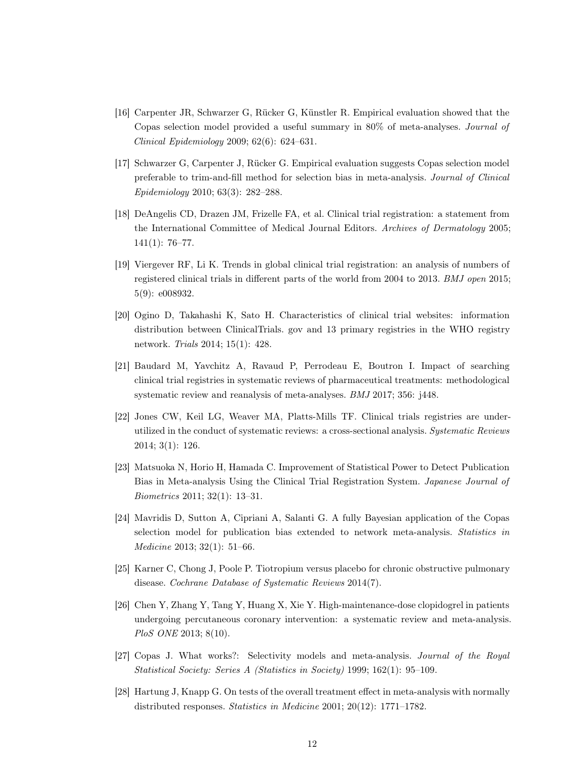- <span id="page-11-0"></span>[16] Carpenter JR, Schwarzer G, Rücker G, Künstler R. Empirical evaluation showed that the Copas selection model provided a useful summary in 80% of meta-analyses. Journal of Clinical Epidemiology 2009; 62(6): 624–631.
- <span id="page-11-1"></span>[17] Schwarzer G, Carpenter J, Rücker G. Empirical evaluation suggests Copas selection model preferable to trim-and-fill method for selection bias in meta-analysis. Journal of Clinical Epidemiology 2010; 63(3): 282–288.
- <span id="page-11-2"></span>[18] DeAngelis CD, Drazen JM, Frizelle FA, et al. Clinical trial registration: a statement from the International Committee of Medical Journal Editors. Archives of Dermatology 2005; 141(1): 76–77.
- <span id="page-11-3"></span>[19] Viergever RF, Li K. Trends in global clinical trial registration: an analysis of numbers of registered clinical trials in different parts of the world from 2004 to 2013. BMJ open 2015; 5(9): e008932.
- <span id="page-11-4"></span>[20] Ogino D, Takahashi K, Sato H. Characteristics of clinical trial websites: information distribution between ClinicalTrials. gov and 13 primary registries in the WHO registry network. Trials 2014; 15(1): 428.
- <span id="page-11-5"></span>[21] Baudard M, Yavchitz A, Ravaud P, Perrodeau E, Boutron I. Impact of searching clinical trial registries in systematic reviews of pharmaceutical treatments: methodological systematic review and reanalysis of meta-analyses. BMJ 2017; 356: j448.
- <span id="page-11-6"></span>[22] Jones CW, Keil LG, Weaver MA, Platts-Mills TF. Clinical trials registries are underutilized in the conduct of systematic reviews: a cross-sectional analysis. Systematic Reviews 2014; 3(1): 126.
- <span id="page-11-7"></span>[23] Matsuoka N, Horio H, Hamada C. Improvement of Statistical Power to Detect Publication Bias in Meta-analysis Using the Clinical Trial Registration System. Japanese Journal of Biometrics 2011; 32(1): 13–31.
- <span id="page-11-8"></span>[24] Mavridis D, Sutton A, Cipriani A, Salanti G. A fully Bayesian application of the Copas selection model for publication bias extended to network meta-analysis. Statistics in Medicine 2013; 32(1): 51–66.
- <span id="page-11-10"></span><span id="page-11-9"></span>[25] Karner C, Chong J, Poole P. Tiotropium versus placebo for chronic obstructive pulmonary disease. Cochrane Database of Systematic Reviews 2014(7).
- [26] Chen Y, Zhang Y, Tang Y, Huang X, Xie Y. High-maintenance-dose clopidogrel in patients undergoing percutaneous coronary intervention: a systematic review and meta-analysis. PloS ONE 2013; 8(10).
- <span id="page-11-12"></span><span id="page-11-11"></span>[27] Copas J. What works?: Selectivity models and meta-analysis. Journal of the Royal Statistical Society: Series A (Statistics in Society) 1999; 162(1): 95–109.
- [28] Hartung J, Knapp G. On tests of the overall treatment effect in meta-analysis with normally distributed responses. Statistics in Medicine 2001; 20(12): 1771–1782.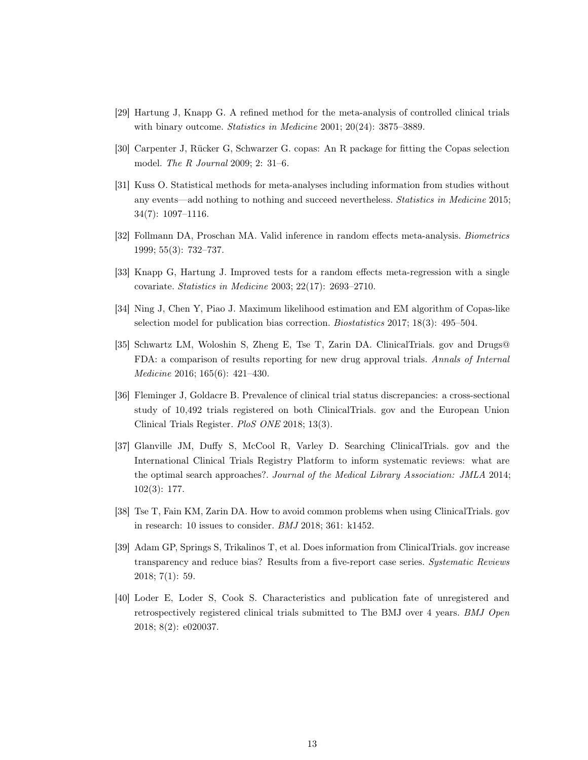- <span id="page-12-1"></span><span id="page-12-0"></span>[29] Hartung J, Knapp G. A refined method for the meta-analysis of controlled clinical trials with binary outcome. Statistics in Medicine 2001; 20(24): 3875–3889.
- <span id="page-12-2"></span>[30] Carpenter J, Rücker G, Schwarzer G. copas: An R package for fitting the Copas selection model. The R Journal 2009; 2: 31–6.
- [31] Kuss O. Statistical methods for meta-analyses including information from studies without any events—add nothing to nothing and succeed nevertheless. Statistics in Medicine 2015; 34(7): 1097–1116.
- <span id="page-12-4"></span><span id="page-12-3"></span>[32] Follmann DA, Proschan MA. Valid inference in random effects meta-analysis. Biometrics 1999; 55(3): 732–737.
- <span id="page-12-5"></span>[33] Knapp G, Hartung J. Improved tests for a random effects meta-regression with a single covariate. Statistics in Medicine 2003; 22(17): 2693–2710.
- <span id="page-12-6"></span>[34] Ning J, Chen Y, Piao J. Maximum likelihood estimation and EM algorithm of Copas-like selection model for publication bias correction. Biostatistics 2017; 18(3): 495–504.
- [35] Schwartz LM, Woloshin S, Zheng E, Tse T, Zarin DA. ClinicalTrials. gov and Drugs@ FDA: a comparison of results reporting for new drug approval trials. Annals of Internal Medicine 2016; 165(6): 421–430.
- <span id="page-12-7"></span>[36] Fleminger J, Goldacre B. Prevalence of clinical trial status discrepancies: a cross-sectional study of 10,492 trials registered on both ClinicalTrials. gov and the European Union Clinical Trials Register. PloS ONE 2018; 13(3).
- <span id="page-12-8"></span>[37] Glanville JM, Duffy S, McCool R, Varley D. Searching ClinicalTrials. gov and the International Clinical Trials Registry Platform to inform systematic reviews: what are the optimal search approaches?. Journal of the Medical Library Association: JMLA 2014; 102(3): 177.
- <span id="page-12-10"></span><span id="page-12-9"></span>[38] Tse T, Fain KM, Zarin DA. How to avoid common problems when using ClinicalTrials. gov in research: 10 issues to consider. BMJ 2018; 361: k1452.
- [39] Adam GP, Springs S, Trikalinos T, et al. Does information from ClinicalTrials. gov increase transparency and reduce bias? Results from a five-report case series. Systematic Reviews 2018; 7(1): 59.
- <span id="page-12-11"></span>[40] Loder E, Loder S, Cook S. Characteristics and publication fate of unregistered and retrospectively registered clinical trials submitted to The BMJ over 4 years. BMJ Open 2018; 8(2): e020037.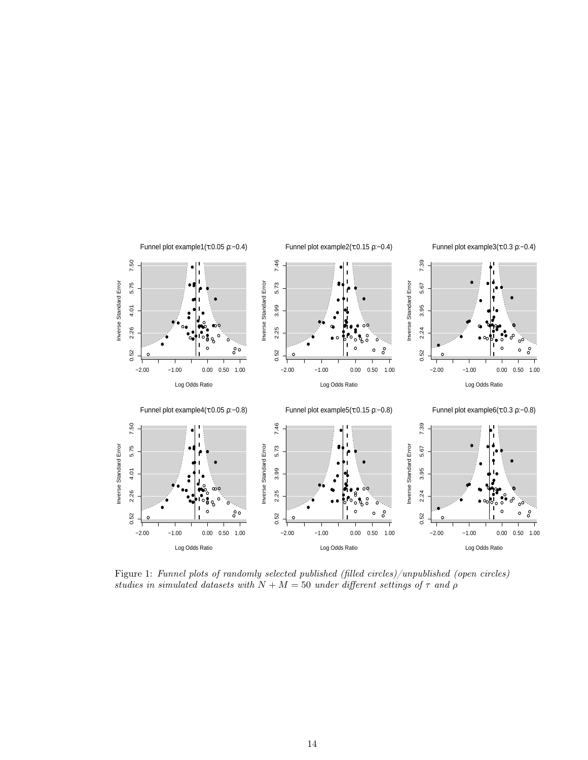

Figure 1: Funnel plots of randomly selected published (filled circles)/unpublished (open circles) studies in simulated datasets with  $N + M = 50$  under different settings of  $\tau$  and  $\rho$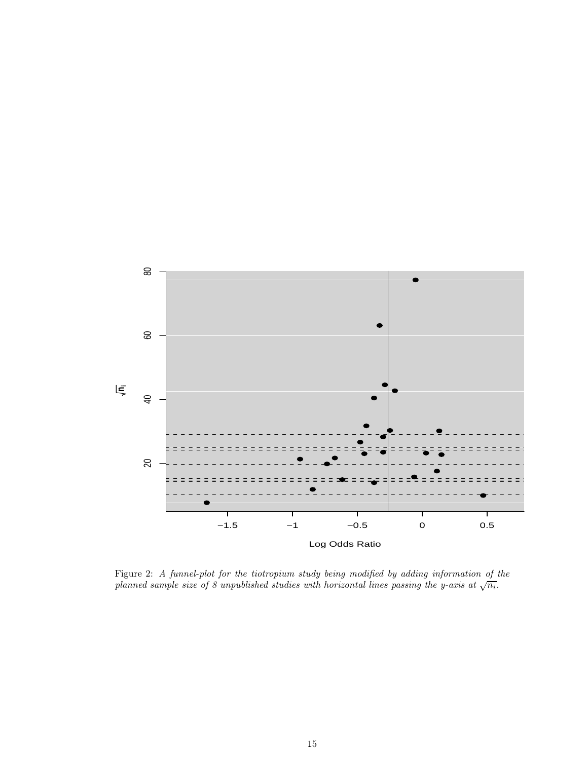![](_page_14_Figure_0.jpeg)

Figure 2: A funnel-plot for the tiotropium study being modified by adding information of the planned sample size of 8 unpublished studies with horizontal lines passing the y-axis at  $\sqrt{n_i}$ .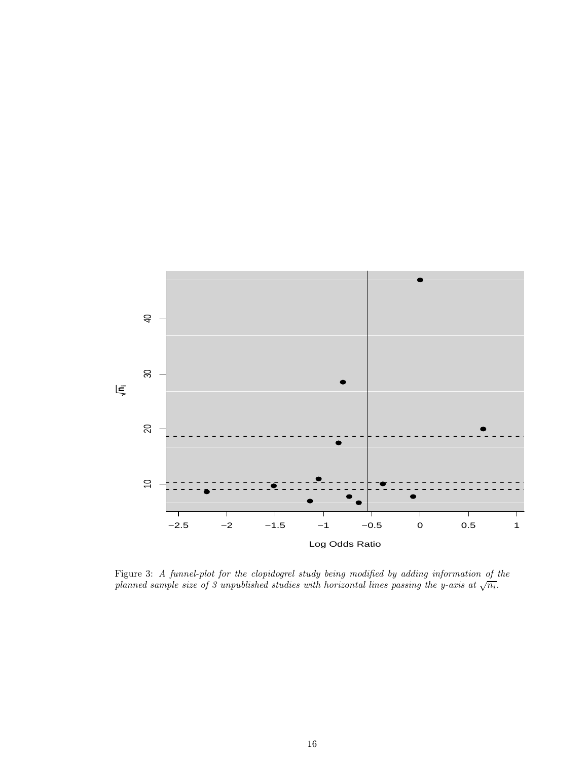![](_page_15_Figure_0.jpeg)

Figure 3: A funnel-plot for the clopidogrel study being modified by adding information of the planned sample size of 3 unpublished studies with horizontal lines passing the y-axis at  $\sqrt{n_i}$ .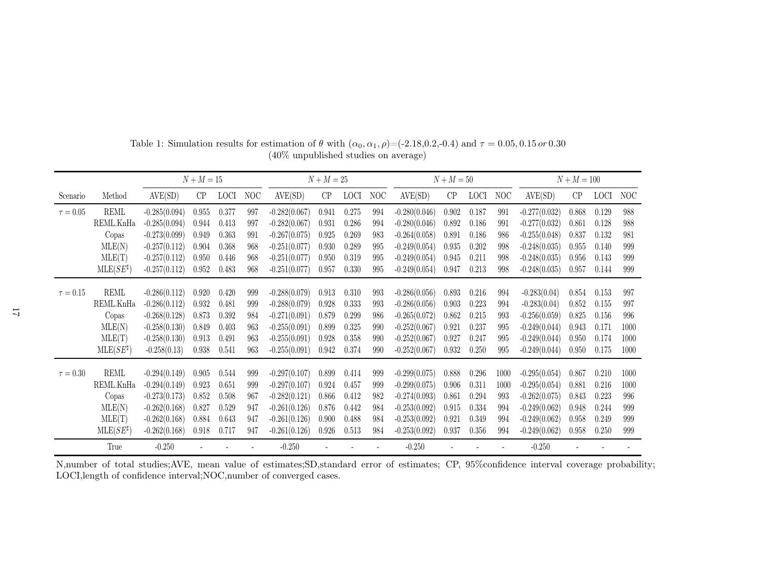|               |                    | $N + M = 15$    |       |             |            |                 | $N + M = 25$ |             |     | $N + M = 50$    |       |             |      | $N + M = 100$   |       |             |      |
|---------------|--------------------|-----------------|-------|-------------|------------|-----------------|--------------|-------------|-----|-----------------|-------|-------------|------|-----------------|-------|-------------|------|
| Scenario      | Method             | AVE(SD)         | CP    | <b>LOCI</b> | <b>NOC</b> | AVE(SD)         | CP           | <b>LOCI</b> | NOC | AVE(SD)         | CP    | <b>LOCI</b> | NOC  | AVE(SD)         | CP    | <b>LOCI</b> | NOC  |
| $\tau=0.05$   | REML               | $-0.285(0.094)$ | 0.955 | 0.377       | 997        | $-0.282(0.067)$ | 0.941        | 0.275       | 994 | $-0.280(0.046)$ | 0.902 | 0.187       | 991  | $-0.277(0.032)$ | 0.868 | 0.129       | 988  |
|               | REML.KnHa          | $-0.285(0.094)$ | 0.944 | 0.413       | 997        | $-0.282(0.067)$ | 0.931        | 0.286       | 994 | $-0.280(0.046)$ | 0.892 | 0.186       | 991  | $-0.277(0.032)$ | 0.861 | 0.128       | 988  |
|               | Copas              | $-0.273(0.099)$ | 0.949 | 0.363       | 991        | $-0.267(0.075)$ | 0.925        | 0.269       | 983 | $-0.264(0.058)$ | 0.891 | 0.186       | 986  | $-0.255(0.048)$ | 0.837 | 0.132       | 981  |
|               | MLE(N)             | $-0.257(0.112)$ | 0.904 | 0.368       | 968        | $-0.251(0.077)$ | 0.930        | 0.289       | 995 | $-0.249(0.054)$ | 0.935 | 0.202       | 998  | $-0.248(0.035)$ | 0.955 | 0.140       | 999  |
|               | MLE(T)             | $-0.257(0.112)$ | 0.950 | 0.446       | 968        | $-0.251(0.077)$ | 0.950        | 0.319       | 995 | $-0.249(0.054)$ | 0.945 | 0.211       | 998  | $-0.248(0.035)$ | 0.956 | 0.143       | 999  |
|               | $MLE(SE^{\sharp})$ | $-0.257(0.112)$ | 0.952 | 0.483       | 968        | $-0.251(0.077)$ | 0.957        | 0.330       | 995 | $-0.249(0.054)$ | 0.947 | 0.213       | 998  | $-0.248(0.035)$ | 0.957 | 0.144       | 999  |
|               |                    |                 |       |             |            |                 |              |             |     |                 |       |             |      |                 |       |             |      |
| $\tau = 0.15$ | REML               | $-0.286(0.112)$ | 0.920 | 0.420       | 999        | $-0.288(0.079)$ | 0.913        | 0.310       | 993 | $-0.286(0.056)$ | 0.893 | 0.216       | 994  | $-0.283(0.04)$  | 0.854 | 0.153       | 997  |
|               | REML.KnHa          | $-0.286(0.112)$ | 0.932 | 0.481       | 999        | $-0.288(0.079)$ | 0.928        | 0.333       | 993 | $-0.286(0.056)$ | 0.903 | 0.223       | 994  | $-0.283(0.04)$  | 0.852 | 0.155       | 997  |
|               | Copas              | $-0.268(0.128)$ | 0.873 | 0.392       | 984        | $-0.271(0.091)$ | 0.879        | 0.299       | 986 | $-0.265(0.072)$ | 0.862 | 0.215       | 993  | $-0.256(0.059)$ | 0.825 | 0.156       | 996  |
|               | MLE(N)             | $-0.258(0.130)$ | 0.849 | 0.403       | 963        | $-0.255(0.091)$ | 0.899        | 0.325       | 990 | $-0.252(0.067)$ | 0.921 | 0.237       | 995  | $-0.249(0.044)$ | 0.943 | 0.171       | 1000 |
|               | MLE(T)             | $-0.258(0.130)$ | 0.913 | 0.491       | 963        | $-0.255(0.091)$ | 0.928        | 0.358       | 990 | $-0.252(0.067)$ | 0.927 | 0.247       | 995  | $-0.249(0.044)$ | 0.950 | 0.174       | 1000 |
|               | $MLE(SE^{\sharp})$ | $-0.258(0.13)$  | 0.938 | 0.541       | 963        | $-0.255(0.091)$ | 0.942        | 0.374       | 990 | $-0.252(0.067)$ | 0.932 | 0.250       | 995  | $-0.249(0.044)$ | 0.950 | 0.175       | 1000 |
| $\tau = 0.30$ | <b>REML</b>        | $-0.294(0.149)$ | 0.905 | 0.544       | 999        | $-0.297(0.107)$ | 0.899        | 0.414       | 999 | $-0.299(0.075)$ | 0.888 | 0.296       | 1000 | $-0.295(0.054)$ | 0.867 | 0.210       | 1000 |
|               | REML.KnHa          | $-0.294(0.149)$ | 0.923 | 0.651       | 999        | $-0.297(0.107)$ | 0.924        | 0.457       | 999 | $-0.299(0.075)$ | 0.906 | 0.311       | 1000 | $-0.295(0.054)$ | 0.881 | 0.216       | 1000 |
|               | Copas              | $-0.273(0.173)$ | 0.852 | 0.508       | 967        | $-0.282(0.121)$ | 0.866        | 0.412       | 982 | $-0.274(0.093)$ | 0.861 | 0.294       | 993  | $-0.262(0.075)$ | 0.843 | 0.223       | 996  |
|               | MLE(N)             | $-0.262(0.168)$ | 0.827 | 0.529       | 947        | $-0.261(0.126)$ | 0.876        | 0.442       | 984 | $-0.253(0.092)$ | 0.915 | 0.334       | 994  | $-0.249(0.062)$ | 0.948 | 0.244       | 999  |
|               | MLE(T)             | $-0.262(0.168)$ | 0.884 | 0.643       | 947        | $-0.261(0.126)$ | 0.900        | 0.488       | 984 | $-0.253(0.092)$ | 0.921 | 0.349       | 994  | $-0.249(0.062)$ | 0.958 | 0.249       | 999  |
|               | $MLE(SE^{\sharp})$ | $-0.262(0.168)$ | 0.918 | 0.717       | 947        | $-0.261(0.126)$ | 0.926        | 0.513       | 984 | $-0.253(0.092)$ | 0.937 | 0.356       | 994  | $-0.249(0.062)$ | 0.958 | 0.250       | 999  |
|               | True               | $-0.250$        |       |             |            | $-0.250$        |              |             |     | $-0.250$        |       |             |      | $-0.250$        |       |             |      |

Table 1: Simulation results for estimation of  $\theta$  with  $(\alpha_0, \alpha_1, \rho) = (-2.18, 0.2, -0.4)$  and  $\tau = 0.05, 0.15 \text{ or } 0.30$ (40% unpublished studies on average)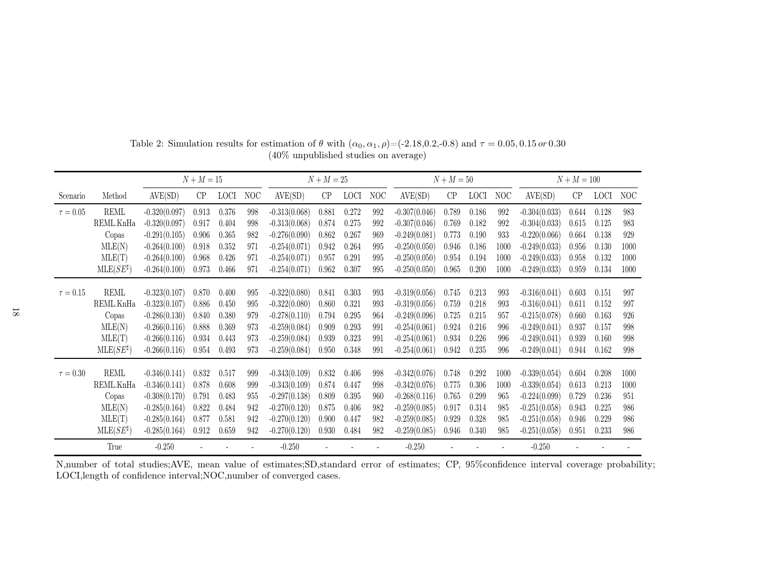|               |                    | $N + M = 15$    |       | $N + M = 25$ |     |                 |       | $N + M = 50$ |     |                 |       | $N + M = 100$ |      |                 |       |             |      |
|---------------|--------------------|-----------------|-------|--------------|-----|-----------------|-------|--------------|-----|-----------------|-------|---------------|------|-----------------|-------|-------------|------|
| Scenario      | Method             | AVE(SD)         | CP    | <b>LOCI</b>  | NOC | AVE(SD)         | CP    | <b>LOCI</b>  | NOC | AVE(SD)         | CP    | <b>LOCI</b>   | NOC  | AVE(SD)         | CP    | <b>LOCI</b> | NOC  |
| $\tau = 0.05$ | <b>REML</b>        | $-0.320(0.097)$ | 0.913 | 0.376        | 998 | $-0.313(0.068)$ | 0.881 | 0.272        | 992 | $-0.307(0.046)$ | 0.789 | 0.186         | 992  | $-0.304(0.033)$ | 0.644 | 0.128       | 983  |
|               | REML.KnHa          | $-0.320(0.097)$ | 0.917 | 0.404        | 998 | $-0.313(0.068)$ | 0.874 | 0.275        | 992 | $-0.307(0.046)$ | 0.769 | 0.182         | 992  | $-0.304(0.033)$ | 0.615 | 0.125       | 983  |
|               | Copas              | $-0.291(0.105)$ | 0.906 | 0.365        | 982 | $-0.276(0.090)$ | 0.862 | 0.267        | 969 | $-0.249(0.081)$ | 0.773 | 0.190         | 933  | $-0.220(0.066)$ | 0.664 | 0.138       | 929  |
|               | MLE(N)             | $-0.264(0.100)$ | 0.918 | 0.352        | 971 | $-0.254(0.071)$ | 0.942 | 0.264        | 995 | $-0.250(0.050)$ | 0.946 | 0.186         | 1000 | $-0.249(0.033)$ | 0.956 | 0.130       | 1000 |
|               | MLE(T)             | $-0.264(0.100)$ | 0.968 | 0.426        | 971 | $-0.254(0.071)$ | 0.957 | 0.291        | 995 | $-0.250(0.050)$ | 0.954 | 0.194         | 1000 | $-0.249(0.033)$ | 0.958 | 0.132       | 1000 |
|               | $MLE(SE^{\sharp})$ | $-0.264(0.100)$ | 0.973 | 0.466        | 971 | $-0.254(0.071)$ | 0.962 | 0.307        | 995 | $-0.250(0.050)$ | 0.965 | 0.200         | 1000 | $-0.249(0.033)$ | 0.959 | 0.134       | 1000 |
|               |                    |                 |       |              |     |                 |       |              |     |                 |       |               |      |                 |       |             |      |
| $\tau = 0.15$ | REML               | $-0.323(0.107)$ | 0.870 | 0.400        | 995 | $-0.322(0.080)$ | 0.841 | 0.303        | 993 | $-0.319(0.056)$ | 0.745 | 0.213         | 993  | $-0.316(0.041)$ | 0.603 | 0.151       | 997  |
|               | REML.KnHa          | $-0.323(0.107)$ | 0.886 | 0.450        | 995 | $-0.322(0.080)$ | 0.860 | 0.321        | 993 | $-0.319(0.056)$ | 0.759 | 0.218         | 993  | $-0.316(0.041)$ | 0.611 | 0.152       | 997  |
|               | Copas              | $-0.286(0.130)$ | 0.840 | 0.380        | 979 | $-0.278(0.110)$ | 0.794 | 0.295        | 964 | $-0.249(0.096)$ | 0.725 | 0.215         | 957  | $-0.215(0.078)$ | 0.660 | 0.163       | 926  |
|               | MLE(N)             | $-0.266(0.116)$ | 0.888 | 0.369        | 973 | $-0.259(0.084)$ | 0.909 | 0.293        | 991 | $-0.254(0.061)$ | 0.924 | 0.216         | 996  | $-0.249(0.041)$ | 0.937 | 0.157       | 998  |
|               | MLE(T)             | $-0.266(0.116)$ | 0.934 | 0.443        | 973 | $-0.259(0.084)$ | 0.939 | 0.323        | 991 | $-0.254(0.061)$ | 0.934 | 0.226         | 996  | $-0.249(0.041)$ | 0.939 | 0.160       | 998  |
|               | $MLE(SE^{\sharp})$ | $-0.266(0.116)$ | 0.954 | 0.493        | 973 | $-0.259(0.084)$ | 0.950 | 0.348        | 991 | $-0.254(0.061)$ | 0.942 | 0.235         | 996  | $-0.249(0.041)$ | 0.944 | 0.162       | 998  |
| $\tau = 0.30$ | <b>REML</b>        | $-0.346(0.141)$ | 0.832 | 0.517        | 999 | $-0.343(0.109)$ | 0.832 | 0.406        | 998 | $-0.342(0.076)$ | 0.748 | 0.292         | 1000 | $-0.339(0.054)$ | 0.604 | 0.208       | 1000 |
|               | REML.KnHa          | $-0.346(0.141)$ | 0.878 | 0.608        | 999 | $-0.343(0.109)$ | 0.874 | 0.447        | 998 | $-0.342(0.076)$ | 0.775 | 0.306         | 1000 | $-0.339(0.054)$ | 0.613 | 0.213       | 1000 |
|               | Copas              | $-0.308(0.170)$ | 0.791 | 0.483        | 955 | $-0.297(0.138)$ | 0.809 | 0.395        | 960 | $-0.268(0.116)$ | 0.765 | 0.299         | 965  | $-0.224(0.099)$ | 0.729 | 0.236       | 951  |
|               | MLE(N)             | $-0.285(0.164)$ | 0.822 | 0.484        | 942 | $-0.270(0.120)$ | 0.875 | 0.406        | 982 | $-0.259(0.085)$ | 0.917 | 0.314         | 985  | $-0.251(0.058)$ | 0.943 | 0.225       | 986  |
|               | MLE(T)             | $-0.285(0.164)$ | 0.877 | 0.581        | 942 | $-0.270(0.120)$ | 0.900 | 0.447        | 982 | $-0.259(0.085)$ | 0.929 | 0.328         | 985  | $-0.251(0.058)$ | 0.946 | 0.229       | 986  |
|               | $MLE(SE^{\sharp})$ | $-0.285(0.164)$ | 0.912 | 0.659        | 942 | $-0.270(0.120)$ | 0.930 | 0.484        | 982 | $-0.259(0.085)$ | 0.946 | 0.340         | 985  | $-0.251(0.058)$ | 0.951 | 0.233       | 986  |
|               | True               | $-0.250$        |       |              |     | $-0.250$        |       |              |     | $-0.250$        |       |               |      | $-0.250$        |       |             |      |

Table 2: Simulation results for estimation of  $\theta$  with  $(\alpha_0, \alpha_1, \rho) = (-2.18, 0.2, -0.8)$  and  $\tau = 0.05, 0.15 \text{ or } 0.30$ (40% unpublished studies on average)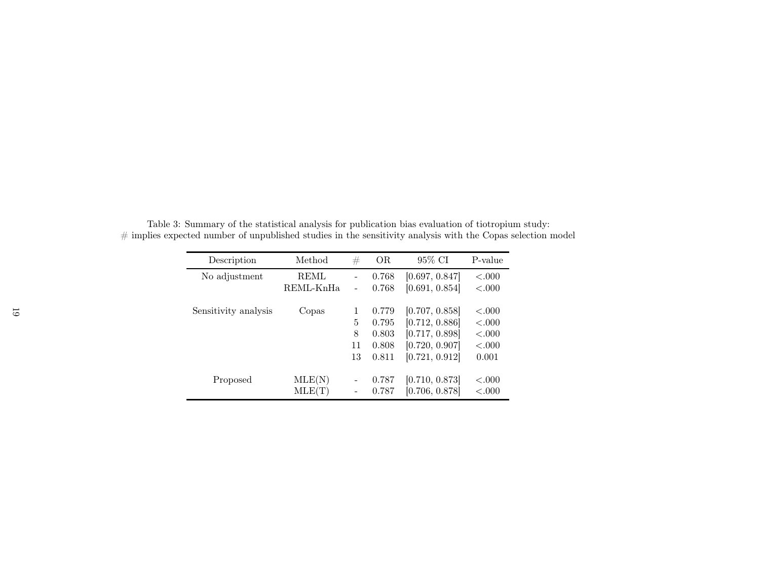| Description          | Method      | #                        | OR.   | 95% CI         | P-value   |
|----------------------|-------------|--------------------------|-------|----------------|-----------|
| No adjustment        | <b>REML</b> | $\overline{\phantom{0}}$ | 0.768 | [0.697, 0.847] | < .000    |
|                      | REML-KnHa   |                          | 0.768 | [0.691, 0.854] | < .000    |
| Sensitivity analysis | Copas       | 1                        | 0.779 | [0.707, 0.858] | $-.000$   |
|                      |             | 5                        | 0.795 | [0.712, 0.886] | < .000    |
|                      |             | 8                        | 0.803 | [0.717, 0.898] | ${<}.000$ |
|                      |             | 11                       | 0.808 | [0.720, 0.907] | ${<}.000$ |
|                      |             | 13                       | 0.811 | [0.721, 0.912] | 0.001     |
| Proposed             | MLE(N)      |                          | 0.787 | [0.710, 0.873] | < .000    |
|                      | MLE(T)      |                          | 0.787 | [0.706, 0.878] | < 0.000   |

Table 3: Summary of the statistical analysis for publication bias evaluation of tiotropium study:  $#$  implies expected number of unpublished studies in the sensitivity analysis with the Copas selection model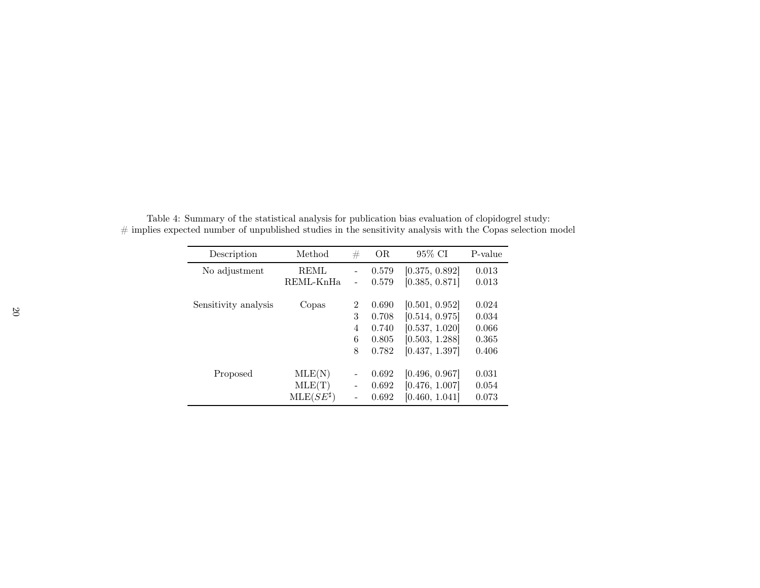| Description          | Method             | #                            | <b>OR</b> | 95% CI         | P-value |
|----------------------|--------------------|------------------------------|-----------|----------------|---------|
| No adjustment        | <b>REML</b>        | $\qquad \qquad -$            | 0.579     | [0.375, 0.892] | 0.013   |
|                      | REML-KnHa          | $\overline{\phantom{a}}$     | 0.579     | [0.385, 0.871] | 0.013   |
|                      |                    |                              |           |                |         |
| Sensitivity analysis | Copas              | $\overline{2}$               | 0.690     | [0.501, 0.952] | 0.024   |
|                      |                    | 3                            | 0.708     | [0.514, 0.975] | 0.034   |
|                      |                    | 4                            | 0.740     | [0.537, 1.020] | 0.066   |
|                      |                    | 6                            | 0.805     | [0.503, 1.288] | 0.365   |
|                      |                    | 8                            | 0.782     | [0.437, 1.397] | 0.406   |
|                      |                    |                              |           |                |         |
| Proposed             | MLE(N)             | $\qquad \qquad \blacksquare$ | 0.692     | [0.496, 0.967] | 0.031   |
|                      | MLE(T)             | $\qquad \qquad -$            | 0.692     | [0.476, 1.007] | 0.054   |
|                      | $MLE(SE^{\sharp})$ |                              | 0.692     | [0.460, 1.041] | 0.073   |

Table 4: Summary of the statistical analysis for publication bias evaluation of clopidogrel study:  $#$  implies expected number of unpublished studies in the sensitivity analysis with the Copas selection model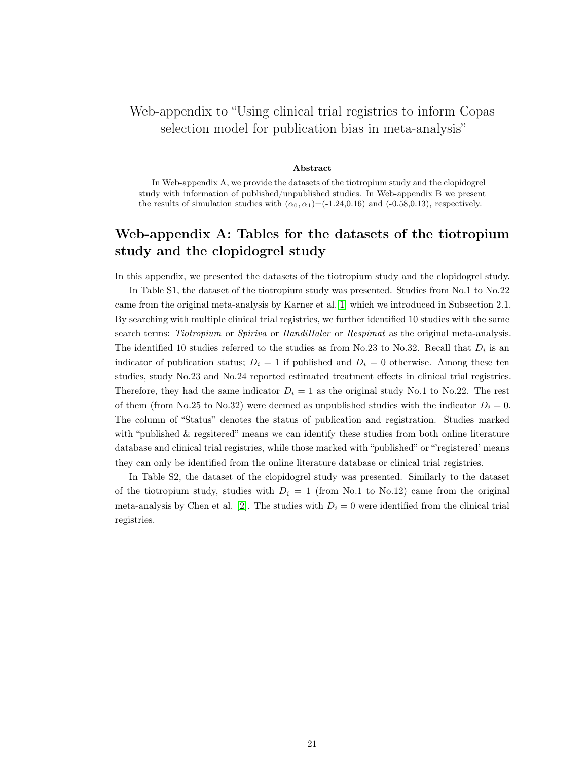# Web-appendix to "Using clinical trial registries to inform Copas selection model for publication bias in meta-analysis"

#### Abstract

In Web-appendix A, we provide the datasets of the tiotropium study and the clopidogrel study with information of published/unpublished studies. In Web-appendix B we present the results of simulation studies with  $(\alpha_0, \alpha_1) = (-1.24, 0.16)$  and  $(-0.58, 0.13)$ , respectively.

# Web-appendix A: Tables for the datasets of the tiotropium study and the clopidogrel study

In this appendix, we presented the datasets of the tiotropium study and the clopidogrel study.

In Table S1, the dataset of the tiotropium study was presented. Studies from No.1 to No.22 came from the original meta-analysis by Karner et al.[\[1\]](#page-23-0) which we introduced in Subsection 2.1. By searching with multiple clinical trial registries, we further identified 10 studies with the same search terms: Tiotropium or Spiriva or HandiHaler or Respimat as the original meta-analysis. The identified 10 studies referred to the studies as from No.23 to No.32. Recall that  $D_i$  is an indicator of publication status;  $D_i = 1$  if published and  $D_i = 0$  otherwise. Among these ten studies, study No.23 and No.24 reported estimated treatment effects in clinical trial registries. Therefore, they had the same indicator  $D_i = 1$  as the original study No.1 to No.22. The rest of them (from No.25 to No.32) were deemed as unpublished studies with the indicator  $D_i = 0$ . The column of "Status" denotes the status of publication and registration. Studies marked with "published & regsitered" means we can identify these studies from both online literature database and clinical trial registries, while those marked with "published" or "'registered' means they can only be identified from the online literature database or clinical trial registries.

In Table S2, the dataset of the clopidogrel study was presented. Similarly to the dataset of the tiotropium study, studies with  $D_i = 1$  (from No.1 to No.12) came from the original meta-analysis by Chen et al. [\[2\]](#page-23-1). The studies with  $D<sub>i</sub> = 0$  were identified from the clinical trial registries.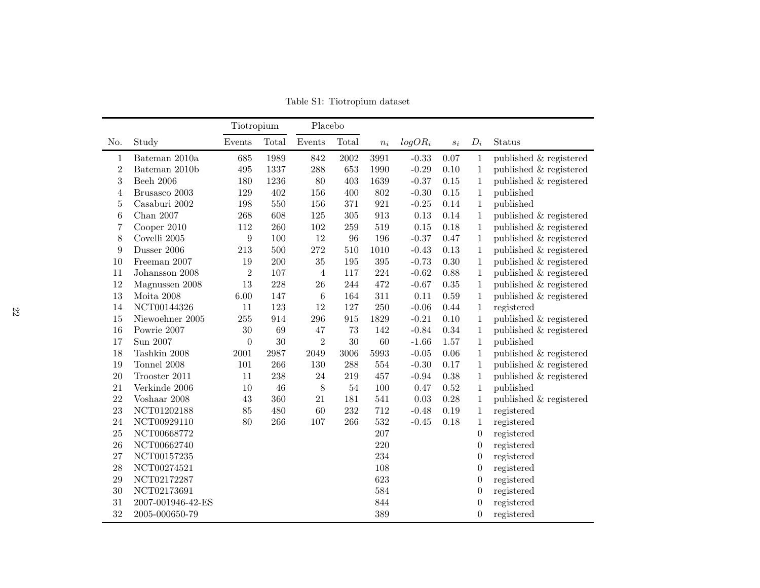|                |                   | Tiotropium       |       | Placebo        |       |       |           |                  |                  |                        |
|----------------|-------------------|------------------|-------|----------------|-------|-------|-----------|------------------|------------------|------------------------|
| No.            | Study             | Events           | Total | Events         | Total | $n_i$ | $logOR_i$ | $\mathfrak{s}_i$ | $D_i$            | Status                 |
| 1              | Bateman 2010a     | 685              | 1989  | 842            | 2002  | 3991  | $-0.33$   | 0.07             | 1                | published & registered |
| $\overline{2}$ | Bateman 2010b     | 495              | 1337  | 288            | 653   | 1990  | $-0.29$   | 0.10             | $\mathbf{1}$     | published & registered |
| 3              | <b>Beeh 2006</b>  | 180              | 1236  | 80             | 403   | 1639  | $-0.37$   | $0.15\,$         | $\mathbf{1}$     | published & registered |
| 4              | Brusasco 2003     | 129              | 402   | 156            | 400   | 802   | $-0.30$   | $0.15\,$         | 1                | published              |
| $\bf 5$        | Casaburi 2002     | 198              | 550   | 156            | 371   | 921   | $-0.25$   | 0.14             | $\mathbf{1}$     | published              |
| 6              | Chan $2007$       | 268              | 608   | 125            | 305   | 913   | 0.13      | 0.14             | $\mathbf{1}$     | published & registered |
| 7              | Cooper 2010       | 112              | 260   | 102            | 259   | 519   | 0.15      | 0.18             | $\mathbf{1}$     | published & registered |
| 8              | Covelli 2005      | 9                | 100   | 12             | 96    | 196   | $-0.37$   | 0.47             | 1                | published & registered |
| 9              | Dusser 2006       | 213              | 500   | 272            | 510   | 1010  | $-0.43$   | 0.13             | 1                | published & registered |
| 10             | Freeman 2007      | 19               | 200   | $35\,$         | 195   | 395   | $-0.73$   | 0.30             | $\mathbf{1}$     | published & registered |
| 11             | Johansson 2008    | $\overline{2}$   | 107   | $\overline{4}$ | 117   | 224   | $-0.62$   | 0.88             | $\mathbf{1}$     | published & registered |
| 12             | Magnussen 2008    | 13               | 228   | 26             | 244   | 472   | $-0.67$   | 0.35             | $\mathbf{1}$     | published & registered |
| 13             | Moita $2008$      | 6.00             | 147   | $\,6$          | 164   | 311   | 0.11      | 0.59             | $\mathbf{1}$     | published & registered |
| 14             | NCT00144326       | 11               | 123   | 12             | 127   | 250   | $-0.06$   | 0.44             | $\mathbf{1}$     | registered             |
| 15             | Niewoehner 2005   | 255              | 914   | 296            | 915   | 1829  | $-0.21$   | 0.10             | $\mathbf{1}$     | published & registered |
| 16             | Powrie 2007       | 30               | 69    | 47             | 73    | 142   | $-0.84$   | 0.34             | 1                | published & registered |
| 17             | Sun 2007          | $\boldsymbol{0}$ | 30    | $\overline{2}$ | 30    | 60    | $-1.66$   | 1.57             | 1                | published              |
| 18             | Tashkin 2008      | 2001             | 2987  | 2049           | 3006  | 5993  | $-0.05$   | 0.06             | $\mathbf{1}$     | published & registered |
| 19             | Tonnel 2008       | 101              | 266   | 130            | 288   | 554   | $-0.30$   | 0.17             | $\mathbf{1}$     | published & registered |
| 20             | Trooster 2011     | 11               | 238   | 24             | 219   | 457   | $-0.94$   | 0.38             | $\,1$            | published & registered |
| 21             | Verkinde 2006     | 10               | 46    | 8              | 54    | 100   | 0.47      | 0.52             | $\,1$            | published              |
| 22             | Voshaar 2008      | 43               | 360   | 21             | 181   | 541   | 0.03      | 0.28             | 1                | published & registered |
| 23             | NCT01202188       | 85               | 480   | 60             | 232   | 712   | $-0.48$   | 0.19             | $\mathbf{1}$     | registered             |
| 24             | NCT00929110       | 80               | 266   | 107            | 266   | 532   | $-0.45$   | 0.18             | 1                | registered             |
| 25             | NCT00668772       |                  |       |                |       | 207   |           |                  | 0                | registered             |
| 26             | NCT00662740       |                  |       |                |       | 220   |           |                  | $\overline{0}$   | registered             |
| 27             | NCT00157235       |                  |       |                |       | 234   |           |                  | $\boldsymbol{0}$ | registered             |
| 28             | NCT00274521       |                  |       |                |       | 108   |           |                  | $\boldsymbol{0}$ | registered             |
| 29             | NCT02172287       |                  |       |                |       | 623   |           |                  | $\boldsymbol{0}$ | registered             |
| 30             | NCT02173691       |                  |       |                |       | 584   |           |                  | 0                | registered             |
| 31             | 2007-001946-42-ES |                  |       |                |       | 844   |           |                  | 0                | registered             |
| 32             | 2005-000650-79    |                  |       |                |       | 389   |           |                  | $\overline{0}$   | registered             |

Table S1: Tiotropium dataset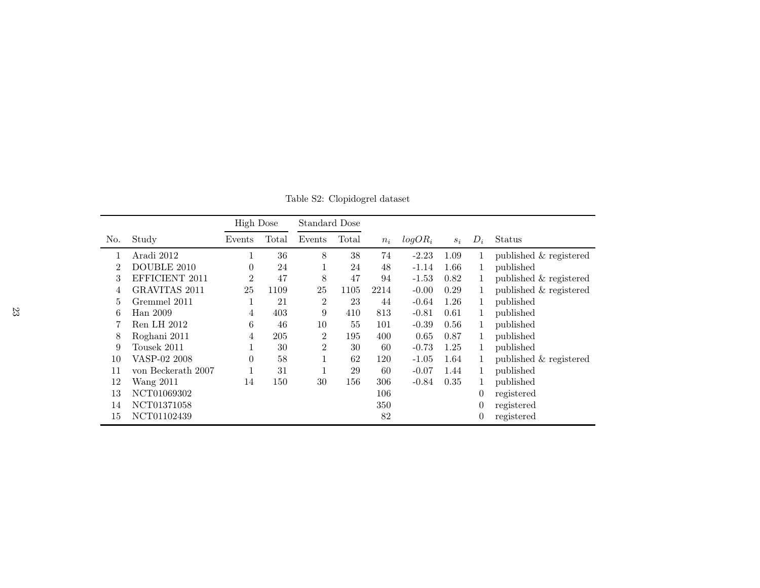|                |                      | <b>High Dose</b> |       | Standard Dose  |       |       |           |       |                |                        |
|----------------|----------------------|------------------|-------|----------------|-------|-------|-----------|-------|----------------|------------------------|
| No.            | Study                | Events           | Total | Events         | Total | $n_i$ | $logOR_i$ | $S_i$ | $D_i$          | Status                 |
|                | Aradi 2012           |                  | 36    | 8              | 38    | 74    | $-2.23$   | 1.09  | 1              | published & registered |
| $\overline{2}$ | DOUBLE 2010          | $\theta$         | 24    |                | 24    | 48    | $-1.14$   | 1.66  | 1              | published              |
| 3              | EFFICIENT 2011       | $\overline{2}$   | 47    | 8              | 47    | 94    | $-1.53$   | 0.82  | 1              | published & registered |
| 4              | <b>GRAVITAS 2011</b> | 25               | 1109  | 25             | 1105  | 2214  | $-0.00$   | 0.29  | 1              | published & registered |
| 5              | Gremmel 2011         |                  | 21    | $\overline{2}$ | 23    | 44    | $-0.64$   | 1.26  | 1              | published              |
| 6              | Han 2009             | 4                | 403   | 9              | 410   | 813   | $-0.81$   | 0.61  | 1              | published              |
|                | Ren LH 2012          | 6                | 46    | 10             | 55    | 101   | $-0.39$   | 0.56  | 1              | published              |
| 8              | Roghani 2011         | 4                | 205   | $\overline{2}$ | 195   | 400   | 0.65      | 0.87  |                | published              |
| 9              | Tousek 2011          |                  | 30    | $\overline{2}$ | 30    | 60    | $-0.73$   | 1.25  | 1              | published              |
| 10             | VASP-02 2008         | $\theta$         | 58    |                | 62    | 120   | $-1.05$   | 1.64  | 1              | published & registered |
| 11             | von Beckerath 2007   |                  | 31    |                | 29    | 60    | $-0.07$   | 1.44  | 1              | published              |
| 12             | <b>Wang 2011</b>     | 14               | 150   | 30             | 156   | 306   | $-0.84$   | 0.35  | 1              | published              |
| 13             | NCT01069302          |                  |       |                |       | 106   |           |       | $\theta$       | registered             |
| 14             | NCT01371058          |                  |       |                |       | 350   |           |       | $\theta$       | registered             |
| 15             | NCT01102439          |                  |       |                |       | 82    |           |       | $\overline{0}$ | registered             |

Table S2: Clopidogrel dataset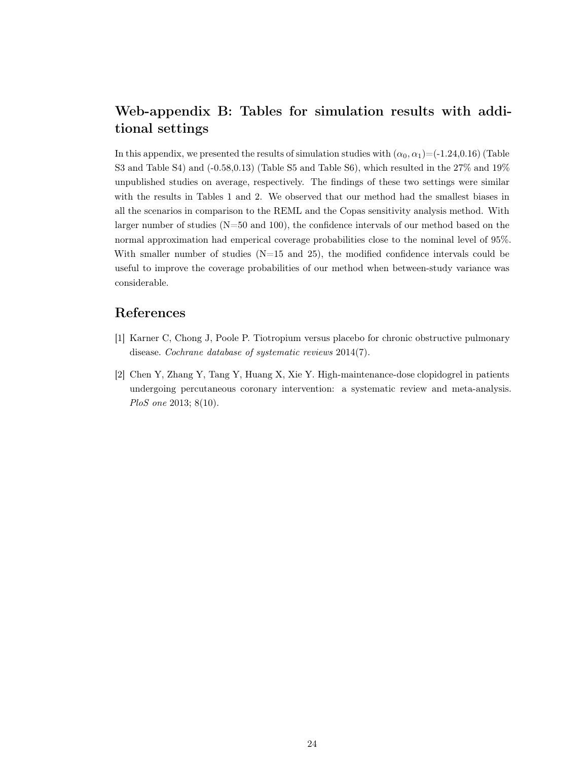# Web-appendix B: Tables for simulation results with additional settings

In this appendix, we presented the results of simulation studies with  $(\alpha_0, \alpha_1) = (-1.24, 0.16)$  (Table S3 and Table S4) and  $(-0.58,0.13)$  (Table S5 and Table S6), which resulted in the 27% and 19% unpublished studies on average, respectively. The findings of these two settings were similar with the results in Tables 1 and 2. We observed that our method had the smallest biases in all the scenarios in comparison to the REML and the Copas sensitivity analysis method. With larger number of studies (N=50 and 100), the confidence intervals of our method based on the normal approximation had emperical coverage probabilities close to the nominal level of 95%. With smaller number of studies  $(N=15 \text{ and } 25)$ , the modified confidence intervals could be useful to improve the coverage probabilities of our method when between-study variance was considerable.

## <span id="page-23-0"></span>References

- <span id="page-23-1"></span>[1] Karner C, Chong J, Poole P. Tiotropium versus placebo for chronic obstructive pulmonary disease. Cochrane database of systematic reviews 2014(7).
- [2] Chen Y, Zhang Y, Tang Y, Huang X, Xie Y. High-maintenance-dose clopidogrel in patients undergoing percutaneous coronary intervention: a systematic review and meta-analysis. PloS one 2013; 8(10).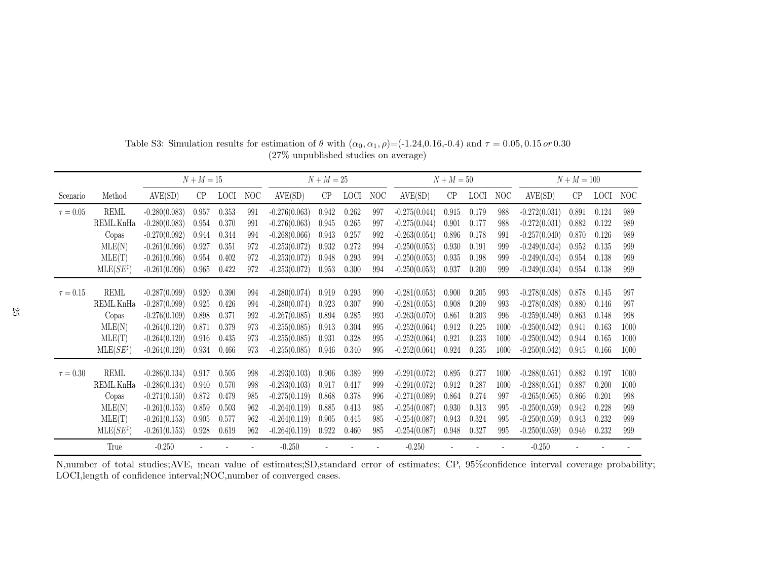|               |                       | $N + M = 15$    |       |             |     |                 | $N + M = 25$ |             |     |                 | $N + M = 50$ |             |      | $N + M = 100$   |       |             |      |
|---------------|-----------------------|-----------------|-------|-------------|-----|-----------------|--------------|-------------|-----|-----------------|--------------|-------------|------|-----------------|-------|-------------|------|
| Scenario      | Method                | AVE(SD)         | CP    | <b>LOCI</b> | NOC | AVE(SD)         | CP           | <b>LOCI</b> | NOC | AVE(SD)         | CP           | <b>LOCI</b> | NOC  | AVE(SD)         | CP    | <b>LOCI</b> | NOC  |
| $\tau=0.05$   | <b>REML</b>           | $-0.280(0.083)$ | 0.957 | 0.353       | 991 | $-0.276(0.063)$ | 0.942        | 0.262       | 997 | $-0.275(0.044)$ | 0.915        | 0.179       | 988  | $-0.272(0.031)$ | 0.891 | 0.124       | 989  |
|               | REML.KnHa             | $-0.280(0.083)$ | 0.954 | 0.370       | 991 | $-0.276(0.063)$ | 0.945        | 0.265       | 997 | $-0.275(0.044)$ | 0.901        | 0.177       | 988  | $-0.272(0.031)$ | 0.882 | 0.122       | 989  |
|               | Copas                 | $-0.270(0.092)$ | 0.944 | 0.344       | 994 | $-0.268(0.066)$ | 0.943        | 0.257       | 992 | $-0.263(0.054)$ | 0.896        | 0.178       | 991  | $-0.257(0.040)$ | 0.870 | 0.126       | 989  |
|               | MLE(N)                | $-0.261(0.096)$ | 0.927 | 0.351       | 972 | $-0.253(0.072)$ | 0.932        | 0.272       | 994 | $-0.250(0.053)$ | 0.930        | 0.191       | 999  | $-0.249(0.034)$ | 0.952 | 0.135       | 999  |
|               | MLE(T)                | $-0.261(0.096)$ | 0.954 | 0.402       | 972 | $-0.253(0.072)$ | 0.948        | 0.293       | 994 | $-0.250(0.053)$ | 0.935        | 0.198       | 999  | $-0.249(0.034)$ | 0.954 | 0.138       | 999  |
|               | $MLE(SE^{\sharp})$    | $-0.261(0.096)$ | 0.965 | 0.422       | 972 | $-0.253(0.072)$ | 0.953        | 0.300       | 994 | $-0.250(0.053)$ | 0.937        | 0.200       | 999  | $-0.249(0.034)$ | 0.954 | 0.138       | 999  |
| $\tau = 0.15$ | $\operatorname{REML}$ | $-0.287(0.099)$ |       | 0.390       | 994 | $-0.280(0.074)$ |              | 0.293       | 990 | $-0.281(0.053)$ |              | 0.205       | 993  | $-0.278(0.038)$ |       | 0.145       | 997  |
|               |                       |                 | 0.920 |             |     |                 | 0.919        |             |     |                 | 0.900        |             |      |                 | 0.878 |             | 997  |
|               | REML.KnHa             | $-0.287(0.099)$ | 0.925 | 0.426       | 994 | $-0.280(0.074)$ | 0.923        | 0.307       | 990 | $-0.281(0.053)$ | 0.908        | 0.209       | 993  | $-0.278(0.038)$ | 0.880 | 0.146       |      |
|               | Copas                 | $-0.276(0.109)$ | 0.898 | 0.371       | 992 | $-0.267(0.085)$ | 0.894        | 0.285       | 993 | $-0.263(0.070)$ | 0.861        | 0.203       | 996  | $-0.259(0.049)$ | 0.863 | 0.148       | 998  |
|               | MLE(N)                | $-0.264(0.120)$ | 0.871 | 0.379       | 973 | $-0.255(0.085)$ | 0.913        | 0.304       | 995 | $-0.252(0.064)$ | 0.912        | 0.225       | 1000 | $-0.250(0.042)$ | 0.941 | 0.163       | 1000 |
|               | MLE(T)                | $-0.264(0.120)$ | 0.916 | 0.435       | 973 | $-0.255(0.085)$ | 0.931        | 0.328       | 995 | $-0.252(0.064)$ | 0.921        | 0.233       | 1000 | $-0.250(0.042)$ | 0.944 | 0.165       | 1000 |
|               | $MLE(SE^{\sharp})$    | $-0.264(0.120)$ | 0.934 | 0.466       | 973 | $-0.255(0.085)$ | 0.946        | 0.340       | 995 | $-0.252(0.064)$ | 0.924        | 0.235       | 1000 | $-0.250(0.042)$ | 0.945 | 0.166       | 1000 |
| $\tau=0.30$   | $\operatorname{REML}$ | $-0.286(0.134)$ | 0.917 | 0.505       | 998 | $-0.293(0.103)$ | 0.906        | 0.389       | 999 | $-0.291(0.072)$ | 0.895        | 0.277       | 1000 | $-0.288(0.051)$ | 0.882 | 0.197       | 1000 |
|               | REML.KnHa             | $-0.286(0.134)$ | 0.940 | 0.570       | 998 | $-0.293(0.103)$ | 0.917        | 0.417       | 999 | $-0.291(0.072)$ | 0.912        | 0.287       | 1000 | $-0.288(0.051)$ | 0.887 | 0.200       | 1000 |
|               | Copas                 | $-0.271(0.150)$ | 0.872 | 0.479       | 985 | $-0.275(0.119)$ | 0.868        | 0.378       | 996 | $-0.271(0.089)$ | 0.864        | 0.274       | 997  | $-0.265(0.065)$ | 0.866 | 0.201       | 998  |
|               | MLE(N)                | $-0.261(0.153)$ | 0.859 | 0.503       | 962 | $-0.264(0.119)$ | 0.885        | 0.413       | 985 | $-0.254(0.087)$ | 0.930        | 0.313       | 995  | $-0.250(0.059)$ | 0.942 | 0.228       | 999  |
|               | MLE(T)                | $-0.261(0.153)$ | 0.905 | 0.577       | 962 | $-0.264(0.119)$ | 0.905        | 0.445       | 985 | $-0.254(0.087)$ | 0.943        | 0.324       | 995  | $-0.250(0.059)$ | 0.943 | 0.232       | 999  |
|               | $MLE(SE^{\sharp})$    | $-0.261(0.153)$ | 0.928 | 0.619       | 962 | $-0.264(0.119)$ | 0.922        | 0.460       | 985 | $-0.254(0.087)$ | 0.948        | 0.327       | 995  | $-0.250(0.059)$ | 0.946 | 0.232       | 999  |
|               | True                  | $-0.250$        |       |             |     | $-0.250$        |              |             |     | $-0.250$        |              |             |      | $-0.250$        |       |             |      |

Table S3: Simulation results for estimation of  $\theta$  with  $(\alpha_0, \alpha_1, \rho) = (-1.24, 0.16, -0.4)$  and  $\tau = 0.05, 0.15 \text{ or } 0.30$ (27% unpublished studies on average)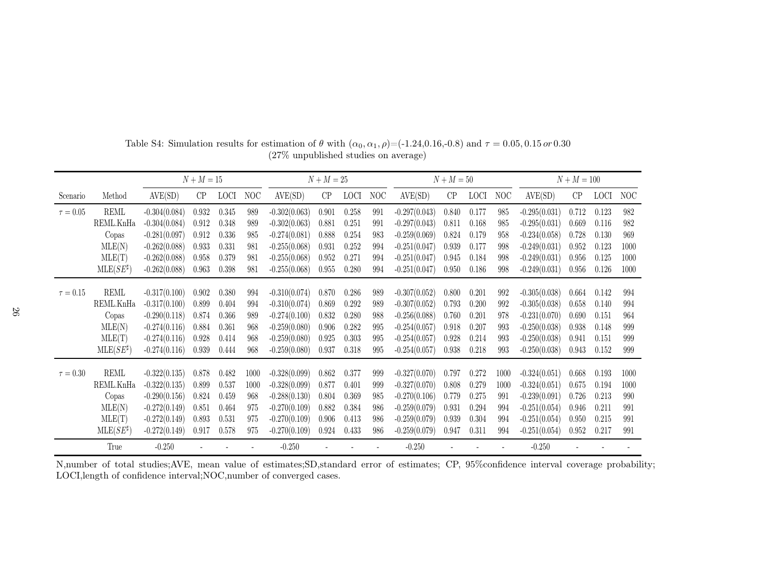|               |                       | $N + M = 15$    |       |             |      |                 | $N + M = 25$ |             |     | $N + M = 50$    |       |             |      | $N + M = 100$   |       |             |      |
|---------------|-----------------------|-----------------|-------|-------------|------|-----------------|--------------|-------------|-----|-----------------|-------|-------------|------|-----------------|-------|-------------|------|
| Scenario      | Method                | AVE(SD)         | CP    | <b>LOCI</b> | NOC  | AVE(SD)         | CP           | <b>LOCI</b> | NOC | AVE(SD)         | CP    | <b>LOCI</b> | NOC  | AVE(SD)         | CP    | <b>LOCI</b> | NOC  |
| $\tau=0.05$   | <b>REML</b>           | $-0.304(0.084)$ | 0.932 | 0.345       | 989  | $-0.302(0.063)$ | 0.901        | 0.258       | 991 | $-0.297(0.043)$ | 0.840 | 0.177       | 985  | $-0.295(0.031)$ | 0.712 | 0.123       | 982  |
|               | REML.KnHa             | $-0.304(0.084)$ | 0.912 | 0.348       | 989  | $-0.302(0.063)$ | 0.881        | 0.251       | 991 | $-0.297(0.043)$ | 0.811 | 0.168       | 985  | $-0.295(0.031)$ | 0.669 | 0.116       | 982  |
|               | Copas                 | $-0.281(0.097)$ | 0.912 | 0.336       | 985  | $-0.274(0.081)$ | 0.888        | 0.254       | 983 | $-0.259(0.069)$ | 0.824 | 0.179       | 958  | $-0.234(0.058)$ | 0.728 | 0.130       | 969  |
|               | MLE(N)                | $-0.262(0.088)$ | 0.933 | 0.331       | 981  | $-0.255(0.068)$ | 0.931        | 0.252       | 994 | $-0.251(0.047)$ | 0.939 | 0.177       | 998  | $-0.249(0.031)$ | 0.952 | 0.123       | 1000 |
|               | MLE(T)                | $-0.262(0.088)$ | 0.958 | 0.379       | 981  | $-0.255(0.068)$ | 0.952        | 0.271       | 994 | $-0.251(0.047)$ | 0.945 | 0.184       | 998  | $-0.249(0.031)$ | 0.956 | 0.125       | 1000 |
|               | $MLE(SE^{\sharp})$    | $-0.262(0.088)$ | 0.963 | 0.398       | 981  | $-0.255(0.068)$ | 0.955        | 0.280       | 994 | $-0.251(0.047)$ | 0.950 | 0.186       | 998  | $-0.249(0.031)$ | 0.956 | 0.126       | 1000 |
|               | $\operatorname{REML}$ |                 |       |             |      |                 |              |             |     |                 |       |             |      |                 |       |             |      |
| $\tau = 0.15$ |                       | $-0.317(0.100)$ | 0.902 | 0.380       | 994  | $-0.310(0.074)$ | 0.870        | 0.286       | 989 | $-0.307(0.052)$ | 0.800 | 0.201       | 992  | $-0.305(0.038)$ | 0.664 | 0.142       | 994  |
|               | REML.KnHa             | $-0.317(0.100)$ | 0.899 | 0.404       | 994  | $-0.310(0.074)$ | 0.869        | 0.292       | 989 | $-0.307(0.052)$ | 0.793 | 0.200       | 992  | $-0.305(0.038)$ | 0.658 | 0.140       | 994  |
|               | Copas                 | $-0.290(0.118)$ | 0.874 | 0.366       | 989  | $-0.274(0.100)$ | 0.832        | 0.280       | 988 | $-0.256(0.088)$ | 0.760 | 0.201       | 978  | $-0.231(0.070)$ | 0.690 | 0.151       | 964  |
|               | MLE(N)                | $-0.274(0.116)$ | 0.884 | 0.361       | 968  | $-0.259(0.080)$ | 0.906        | 0.282       | 995 | $-0.254(0.057)$ | 0.918 | 0.207       | 993  | $-0.250(0.038)$ | 0.938 | 0.148       | 999  |
|               | MLE(T)                | $-0.274(0.116)$ | 0.928 | 0.414       | 968  | $-0.259(0.080)$ | 0.925        | 0.303       | 995 | $-0.254(0.057)$ | 0.928 | 0.214       | 993  | $-0.250(0.038)$ | 0.941 | 0.151       | 999  |
|               | $MLE(SE^{\sharp})$    | $-0.274(0.116)$ | 0.939 | 0.444       | 968  | $-0.259(0.080)$ | 0.937        | 0.318       | 995 | $-0.254(0.057)$ | 0.938 | 0.218       | 993  | $-0.250(0.038)$ | 0.943 | 0.152       | 999  |
| $\tau = 0.30$ | $\operatorname{REML}$ | $-0.322(0.135)$ | 0.878 | 0.482       | 1000 | $-0.328(0.099)$ | 0.862        | 0.377       | 999 | $-0.327(0.070)$ | 0.797 | 0.272       | 1000 | $-0.324(0.051)$ | 0.668 | 0.193       | 1000 |
|               | REML.KnHa             | $-0.322(0.135)$ | 0.899 | 0.537       | 1000 | $-0.328(0.099)$ | 0.877        | 0.401       | 999 | $-0.327(0.070)$ | 0.808 | 0.279       | 1000 | $-0.324(0.051)$ | 0.675 | 0.194       | 1000 |
|               | Copas                 | $-0.290(0.156)$ | 0.824 | 0.459       | 968  | $-0.288(0.130)$ | 0.804        | 0.369       | 985 | $-0.270(0.106)$ | 0.779 | 0.275       | 991  | $-0.239(0.091)$ | 0.726 | 0.213       | 990  |
|               | MLE(N)                | $-0.272(0.149)$ | 0.851 | 0.464       | 975  | $-0.270(0.109)$ | 0.882        | 0.384       | 986 | $-0.259(0.079)$ | 0.931 | 0.294       | 994  | $-0.251(0.054)$ | 0.946 | 0.211       | 991  |
|               | MLE(T)                | $-0.272(0.149)$ | 0.893 | 0.531       | 975  | $-0.270(0.109)$ | 0.906        | 0.413       | 986 | $-0.259(0.079)$ | 0.939 | 0.304       | 994  | $-0.251(0.054)$ | 0.950 | 0.215       | 991  |
|               | $MLE(SE^{\sharp})$    | $-0.272(0.149)$ | 0.917 | 0.578       | 975  | $-0.270(0.109)$ | 0.924        | 0.433       | 986 | $-0.259(0.079)$ | 0.947 | 0.311       | 994  | $-0.251(0.054)$ | 0.952 | 0.217       | 991  |
|               | True                  | $-0.250$        |       |             |      | $-0.250$        |              |             |     | $-0.250$        |       |             |      | $-0.250$        |       |             |      |

Table S4: Simulation results for estimation of  $\theta$  with  $(\alpha_0, \alpha_1, \rho) = (-1.24, 0.16, -0.8)$  and  $\tau = 0.05, 0.15 \text{ or } 0.30$ (27% unpublished studies on average)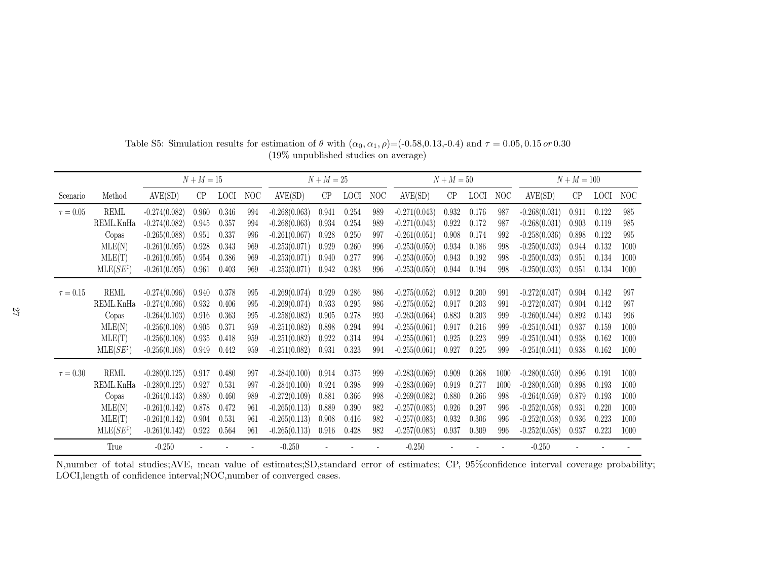|               |                    | $N + M = 15$    |       |             |     |                 | $N + M = 25$ |             |     | $N + M = 50$    |       |             |      | $N + M = 100$   |       |             |      |
|---------------|--------------------|-----------------|-------|-------------|-----|-----------------|--------------|-------------|-----|-----------------|-------|-------------|------|-----------------|-------|-------------|------|
| Scenario      | Method             | AVE(SD)         | CP    | <b>LOCI</b> | NOC | AVE(SD)         | CP           | <b>LOCI</b> | NOC | AVE(SD)         | CP    | <b>LOCI</b> | NOC  | AVE(SD)         | CP    | <b>LOCI</b> | NOC  |
| $\tau = 0.05$ | <b>REML</b>        | $-0.274(0.082)$ | 0.960 | 0.346       | 994 | $-0.268(0.063)$ | 0.941        | 0.254       | 989 | $-0.271(0.043)$ | 0.932 | 0.176       | 987  | $-0.268(0.031)$ | 0.911 | 0.122       | 985  |
|               | REML.KnHa          | $-0.274(0.082)$ | 0.945 | 0.357       | 994 | $-0.268(0.063)$ | 0.934        | 0.254       | 989 | $-0.271(0.043)$ | 0.922 | 0.172       | 987  | $-0.268(0.031)$ | 0.903 | 0.119       | 985  |
|               | Copas              | $-0.265(0.088)$ | 0.951 | 0.337       | 996 | $-0.261(0.067)$ | 0.928        | 0.250       | 997 | $-0.261(0.051)$ | 0.908 | 0.174       | 992  | $-0.258(0.036)$ | 0.898 | 0.122       | 995  |
|               | MLE(N)             | $-0.261(0.095)$ | 0.928 | 0.343       | 969 | $-0.253(0.071)$ | 0.929        | 0.260       | 996 | $-0.253(0.050)$ | 0.934 | 0.186       | 998  | $-0.250(0.033)$ | 0.944 | 0.132       | 1000 |
|               | MLE(T)             | $-0.261(0.095)$ | 0.954 | 0.386       | 969 | $-0.253(0.071)$ | 0.940        | 0.277       | 996 | $-0.253(0.050)$ | 0.943 | 0.192       | 998  | $-0.250(0.033)$ | 0.951 | 0.134       | 1000 |
|               | $MLE(SE^{\sharp})$ | $-0.261(0.095)$ | 0.961 | 0.403       | 969 | $-0.253(0.071)$ | 0.942        | 0.283       | 996 | $-0.253(0.050)$ | 0.944 | 0.194       | 998  | $-0.250(0.033)$ | 0.951 | 0.134       | 1000 |
|               |                    |                 |       |             |     |                 |              |             |     |                 |       |             |      |                 |       |             |      |
| $\tau = 0.15$ | REML               | $-0.274(0.096)$ | 0.940 | 0.378       | 995 | $-0.269(0.074)$ | 0.929        | 0.286       | 986 | $-0.275(0.052)$ | 0.912 | 0.200       | 991  | $-0.272(0.037)$ | 0.904 | 0.142       | 997  |
|               | REML.KnHa          | $-0.274(0.096)$ | 0.932 | 0.406       | 995 | $-0.269(0.074)$ | 0.933        | 0.295       | 986 | $-0.275(0.052)$ | 0.917 | 0.203       | 991  | $-0.272(0.037)$ | 0.904 | 0.142       | 997  |
|               | Copas              | $-0.264(0.103)$ | 0.916 | 0.363       | 995 | $-0.258(0.082)$ | 0.905        | 0.278       | 993 | $-0.263(0.064)$ | 0.883 | 0.203       | 999  | $-0.260(0.044)$ | 0.892 | 0.143       | 996  |
|               | MLE(N)             | $-0.256(0.108)$ | 0.905 | 0.371       | 959 | $-0.251(0.082)$ | 0.898        | 0.294       | 994 | $-0.255(0.061)$ | 0.917 | 0.216       | 999  | $-0.251(0.041)$ | 0.937 | 0.159       | 1000 |
|               | MLE(T)             | $-0.256(0.108)$ | 0.935 | 0.418       | 959 | $-0.251(0.082)$ | 0.922        | 0.314       | 994 | $-0.255(0.061)$ | 0.925 | 0.223       | 999  | $-0.251(0.041)$ | 0.938 | 0.162       | 1000 |
|               | $MLE(SE^{\sharp})$ | $-0.256(0.108)$ | 0.949 | 0.442       | 959 | $-0.251(0.082)$ | 0.931        | 0.323       | 994 | $-0.255(0.061)$ | 0.927 | 0.225       | 999  | $-0.251(0.041)$ | 0.938 | 0.162       | 1000 |
| $\tau = 0.30$ | <b>REML</b>        | $-0.280(0.125)$ | 0.917 | 0.480       | 997 | $-0.284(0.100)$ | 0.914        | 0.375       | 999 | $-0.283(0.069)$ | 0.909 | 0.268       | 1000 | $-0.280(0.050)$ | 0.896 | 0.191       | 1000 |
|               | REML.KnHa          | $-0.280(0.125)$ | 0.927 | 0.531       | 997 | $-0.284(0.100)$ | 0.924        | 0.398       | 999 | $-0.283(0.069)$ | 0.919 | 0.277       | 1000 | $-0.280(0.050)$ | 0.898 | 0.193       | 1000 |
|               | Copas              | $-0.264(0.143)$ | 0.880 | 0.460       | 989 | $-0.272(0.109)$ | 0.881        | 0.366       | 998 | $-0.269(0.082)$ | 0.880 | 0.266       | 998  | $-0.264(0.059)$ | 0.879 | 0.193       | 1000 |
|               | MLE(N)             | $-0.261(0.142)$ | 0.878 | 0.472       | 961 | $-0.265(0.113)$ | 0.889        | 0.390       | 982 | $-0.257(0.083)$ | 0.926 | 0.297       | 996  | $-0.252(0.058)$ | 0.931 | 0.220       | 1000 |
|               | MLE(T)             | $-0.261(0.142)$ | 0.904 | 0.531       | 961 | $-0.265(0.113)$ | 0.908        | 0.416       | 982 | $-0.257(0.083)$ | 0.932 | 0.306       | 996  | $-0.252(0.058)$ | 0.936 | 0.223       | 1000 |
|               | $MLE(SE^{\sharp})$ | $-0.261(0.142)$ | 0.922 | 0.564       | 961 | $-0.265(0.113)$ | 0.916        | 0.428       | 982 | $-0.257(0.083)$ | 0.937 | 0.309       | 996  | $-0.252(0.058)$ | 0.937 | 0.223       | 1000 |
|               | True               | $-0.250$        |       |             |     | $-0.250$        |              |             |     | $-0.250$        |       |             |      | $-0.250$        |       |             |      |

Table S5: Simulation results for estimation of  $\theta$  with  $(\alpha_0, \alpha_1, \rho) = (-0.58, 0.13, -0.4)$  and  $\tau = 0.05, 0.15 \text{ or } 0.30$ (19% unpublished studies on average)